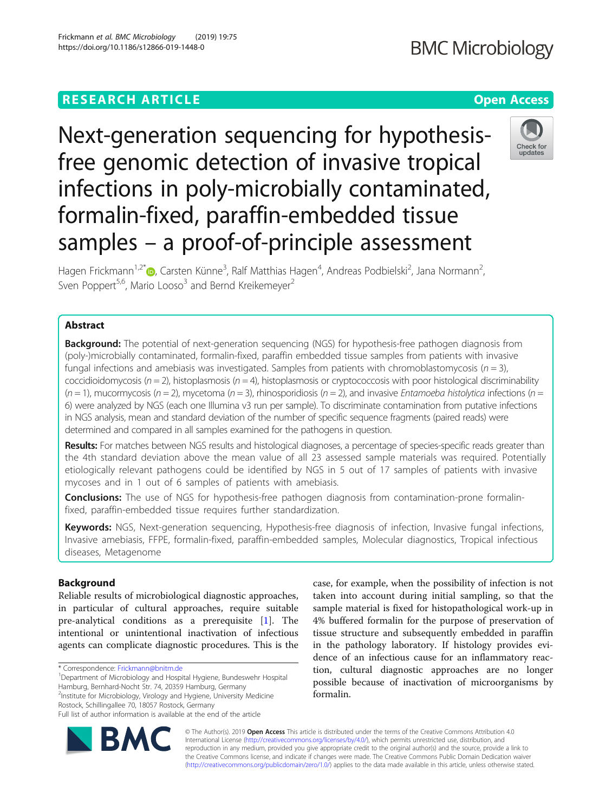# **RESEARCH ARTICLE Example 2018 12:30 THE Open Access**

# Next-generation sequencing for hypothesisfree genomic detection of invasive tropical infections in poly-microbially contaminated, formalin-fixed, paraffin-embedded tissue samples – a proof-of-principle assessment

Hagen Frickmann<sup>1,2[\\*](http://orcid.org/0000-0002-8967-9528)</sup>®, Carsten Künne<sup>3</sup>, Ralf Matthias Hagen<sup>4</sup>, Andreas Podbielski<sup>2</sup>, Jana Normann<sup>2</sup> , Sven Poppert<sup>5,6</sup>, Mario Looso<sup>3</sup> and Bernd Kreikemeyer<sup>2</sup>

# Abstract

**Background:** The potential of next-generation sequencing (NGS) for hypothesis-free pathogen diagnosis from (poly-)microbially contaminated, formalin-fixed, paraffin embedded tissue samples from patients with invasive fungal infections and amebiasis was investigated. Samples from patients with chromoblastomycosis ( $n = 3$ ), coccidioidomycosis ( $n = 2$ ), histoplasmosis ( $n = 4$ ), histoplasmosis or cryptococcosis with poor histological discriminability  $(n = 1)$ , mucormycosis  $(n = 2)$ , mycetoma  $(n = 3)$ , rhinosporidiosis  $(n = 2)$ , and invasive Entamoeba histolytica infections  $(n = 1)$ 6) were analyzed by NGS (each one Illumina v3 run per sample). To discriminate contamination from putative infections in NGS analysis, mean and standard deviation of the number of specific sequence fragments (paired reads) were determined and compared in all samples examined for the pathogens in question.

Results: For matches between NGS results and histological diagnoses, a percentage of species-specific reads greater than the 4th standard deviation above the mean value of all 23 assessed sample materials was required. Potentially etiologically relevant pathogens could be identified by NGS in 5 out of 17 samples of patients with invasive mycoses and in 1 out of 6 samples of patients with amebiasis.

**Conclusions:** The use of NGS for hypothesis-free pathogen diagnosis from contamination-prone formalinfixed, paraffin-embedded tissue requires further standardization.

Keywords: NGS, Next-generation sequencing, Hypothesis-free diagnosis of infection, Invasive fungal infections, Invasive amebiasis, FFPE, formalin-fixed, paraffin-embedded samples, Molecular diagnostics, Tropical infectious diseases, Metagenome

# Background

Reliable results of microbiological diagnostic approaches, in particular of cultural approaches, require suitable pre-analytical conditions as a prerequisite [[1\]](#page-16-0). The intentional or unintentional inactivation of infectious agents can complicate diagnostic procedures. This is the

<sup>1</sup>Department of Microbiology and Hospital Hygiene, Bundeswehr Hospital Hamburg, Bernhard-Nocht Str. 74, 20359 Hamburg, Germany <sup>2</sup>Institute for Microbiology, Virology and Hygiene, University Medicine Rostock, Schillingallee 70, 18057 Rostock, Germany

case, for example, when the possibility of infection is not taken into account during initial sampling, so that the sample material is fixed for histopathological work-up in 4% buffered formalin for the purpose of preservation of tissue structure and subsequently embedded in paraffin in the pathology laboratory. If histology provides evidence of an infectious cause for an inflammatory reaction, cultural diagnostic approaches are no longer possible because of inactivation of microorganisms by formalin.

© The Author(s). 2019 **Open Access** This article is distributed under the terms of the Creative Commons Attribution 4.0 International License [\(http://creativecommons.org/licenses/by/4.0/](http://creativecommons.org/licenses/by/4.0/)), which permits unrestricted use, distribution, and reproduction in any medium, provided you give appropriate credit to the original author(s) and the source, provide a link to the Creative Commons license, and indicate if changes were made. The Creative Commons Public Domain Dedication waiver [\(http://creativecommons.org/publicdomain/zero/1.0/](http://creativecommons.org/publicdomain/zero/1.0/)) applies to the data made available in this article, unless otherwise stated.





<sup>\*</sup> Correspondence: [Frickmann@bnitm.de](mailto:Frickmann@bnitm.de) <sup>1</sup>

Full list of author information is available at the end of the article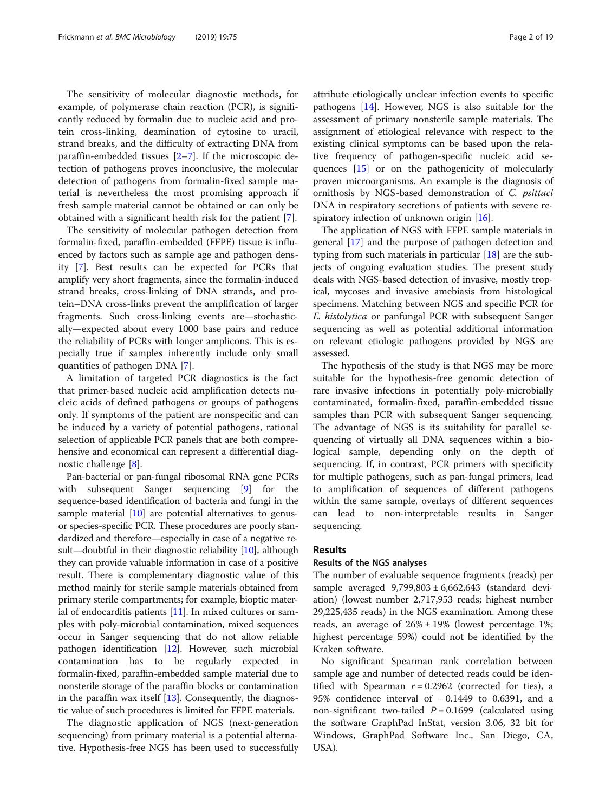The sensitivity of molecular diagnostic methods, for example, of polymerase chain reaction (PCR), is significantly reduced by formalin due to nucleic acid and protein cross-linking, deamination of cytosine to uracil, strand breaks, and the difficulty of extracting DNA from paraffin-embedded tissues  $[2-7]$  $[2-7]$  $[2-7]$  $[2-7]$ . If the microscopic detection of pathogens proves inconclusive, the molecular detection of pathogens from formalin-fixed sample material is nevertheless the most promising approach if fresh sample material cannot be obtained or can only be obtained with a significant health risk for the patient [[7\]](#page-16-0).

The sensitivity of molecular pathogen detection from formalin-fixed, paraffin-embedded (FFPE) tissue is influenced by factors such as sample age and pathogen density [\[7](#page-16-0)]. Best results can be expected for PCRs that amplify very short fragments, since the formalin-induced strand breaks, cross-linking of DNA strands, and protein–DNA cross-links prevent the amplification of larger fragments. Such cross-linking events are—stochastically—expected about every 1000 base pairs and reduce the reliability of PCRs with longer amplicons. This is especially true if samples inherently include only small quantities of pathogen DNA [[7\]](#page-16-0).

A limitation of targeted PCR diagnostics is the fact that primer-based nucleic acid amplification detects nucleic acids of defined pathogens or groups of pathogens only. If symptoms of the patient are nonspecific and can be induced by a variety of potential pathogens, rational selection of applicable PCR panels that are both comprehensive and economical can represent a differential diagnostic challenge [\[8](#page-16-0)].

Pan-bacterial or pan-fungal ribosomal RNA gene PCRs with subsequent Sanger sequencing [\[9\]](#page-16-0) for the sequence-based identification of bacteria and fungi in the sample material  $[10]$  $[10]$  are potential alternatives to genusor species-specific PCR. These procedures are poorly standardized and therefore—especially in case of a negative result—doubtful in their diagnostic reliability [\[10\]](#page-16-0), although they can provide valuable information in case of a positive result. There is complementary diagnostic value of this method mainly for sterile sample materials obtained from primary sterile compartments; for example, bioptic mater-ial of endocarditis patients [\[11\]](#page-16-0). In mixed cultures or samples with poly-microbial contamination, mixed sequences occur in Sanger sequencing that do not allow reliable pathogen identification [\[12](#page-16-0)]. However, such microbial contamination has to be regularly expected in formalin-fixed, paraffin-embedded sample material due to nonsterile storage of the paraffin blocks or contamination in the paraffin wax itself [\[13\]](#page-16-0). Consequently, the diagnostic value of such procedures is limited for FFPE materials.

The diagnostic application of NGS (next-generation sequencing) from primary material is a potential alternative. Hypothesis-free NGS has been used to successfully attribute etiologically unclear infection events to specific pathogens [\[14](#page-16-0)]. However, NGS is also suitable for the assessment of primary nonsterile sample materials. The assignment of etiological relevance with respect to the existing clinical symptoms can be based upon the relative frequency of pathogen-specific nucleic acid sequences [[15\]](#page-16-0) or on the pathogenicity of molecularly proven microorganisms. An example is the diagnosis of ornithosis by NGS-based demonstration of C. psittaci DNA in respiratory secretions of patients with severe re-spiratory infection of unknown origin [\[16\]](#page-17-0).

The application of NGS with FFPE sample materials in general [\[17\]](#page-17-0) and the purpose of pathogen detection and typing from such materials in particular  $[18]$  $[18]$  are the subjects of ongoing evaluation studies. The present study deals with NGS-based detection of invasive, mostly tropical, mycoses and invasive amebiasis from histological specimens. Matching between NGS and specific PCR for E. histolytica or panfungal PCR with subsequent Sanger sequencing as well as potential additional information on relevant etiologic pathogens provided by NGS are assessed.

The hypothesis of the study is that NGS may be more suitable for the hypothesis-free genomic detection of rare invasive infections in potentially poly-microbially contaminated, formalin-fixed, paraffin-embedded tissue samples than PCR with subsequent Sanger sequencing. The advantage of NGS is its suitability for parallel sequencing of virtually all DNA sequences within a biological sample, depending only on the depth of sequencing. If, in contrast, PCR primers with specificity for multiple pathogens, such as pan-fungal primers, lead to amplification of sequences of different pathogens within the same sample, overlays of different sequences can lead to non-interpretable results in Sanger sequencing.

# Results

## Results of the NGS analyses

The number of evaluable sequence fragments (reads) per sample averaged 9,799,803 ± 6,662,643 (standard deviation) (lowest number 2,717,953 reads; highest number 29,225,435 reads) in the NGS examination. Among these reads, an average of  $26\% \pm 19\%$  (lowest percentage 1%; highest percentage 59%) could not be identified by the Kraken software.

No significant Spearman rank correlation between sample age and number of detected reads could be identified with Spearman  $r = 0.2962$  (corrected for ties), a 95% confidence interval of − 0.1449 to 0.6391, and a non-significant two-tailed  $P = 0.1699$  (calculated using the software GraphPad InStat, version 3.06, 32 bit for Windows, GraphPad Software Inc., San Diego, CA, USA).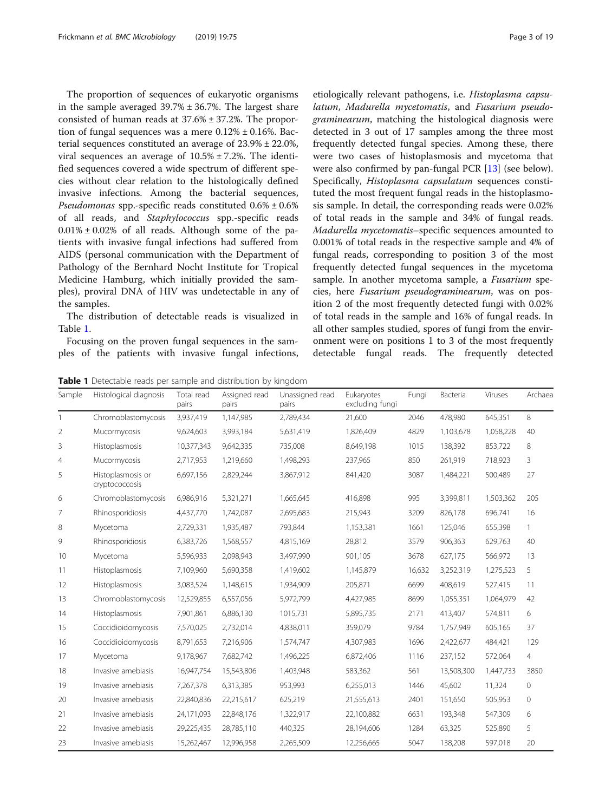The proportion of sequences of eukaryotic organisms in the sample averaged  $39.7\% \pm 36.7\%$ . The largest share consisted of human reads at 37.6% ± 37.2%. The proportion of fungal sequences was a mere  $0.12\% \pm 0.16\%$ . Bacterial sequences constituted an average of 23.9% ± 22.0%, viral sequences an average of  $10.5% \pm 7.2%$ . The identified sequences covered a wide spectrum of different species without clear relation to the histologically defined invasive infections. Among the bacterial sequences, Pseudomonas spp.-specific reads constituted  $0.6\% \pm 0.6\%$ of all reads, and Staphylococcus spp.-specific reads  $0.01\% \pm 0.02\%$  of all reads. Although some of the patients with invasive fungal infections had suffered from AIDS (personal communication with the Department of Pathology of the Bernhard Nocht Institute for Tropical Medicine Hamburg, which initially provided the samples), proviral DNA of HIV was undetectable in any of the samples.

The distribution of detectable reads is visualized in Table 1.

Focusing on the proven fungal sequences in the samples of the patients with invasive fungal infections,

Table 1 Detectable reads per sample and distribution by kingdom

etiologically relevant pathogens, i.e. Histoplasma capsulatum, Madurella mycetomatis, and Fusarium pseudograminearum, matching the histological diagnosis were detected in 3 out of 17 samples among the three most frequently detected fungal species. Among these, there were two cases of histoplasmosis and mycetoma that were also confirmed by pan-fungal PCR [[13](#page-16-0)] (see below). Specifically, Histoplasma capsulatum sequences constituted the most frequent fungal reads in the histoplasmosis sample. In detail, the corresponding reads were 0.02% of total reads in the sample and 34% of fungal reads. Madurella mycetomatis–specific sequences amounted to 0.001% of total reads in the respective sample and 4% of fungal reads, corresponding to position 3 of the most frequently detected fungal sequences in the mycetoma sample. In another mycetoma sample, a Fusarium species, here Fusarium pseudograminearum, was on position 2 of the most frequently detected fungi with 0.02% of total reads in the sample and 16% of fungal reads. In all other samples studied, spores of fungi from the environment were on positions 1 to 3 of the most frequently detectable fungal reads. The frequently detected

| Sample         | Histological diagnosis              | Total read<br>pairs | Assigned read<br>pairs | Unassigned read<br>pairs | Eukaryotes<br>excluding fungi | Fungi  | Bacteria   | Viruses   | Archaea        |
|----------------|-------------------------------------|---------------------|------------------------|--------------------------|-------------------------------|--------|------------|-----------|----------------|
| $\mathbf{1}$   | Chromoblastomycosis                 | 3,937,419           | 1,147,985              | 2,789,434                | 21,600                        | 2046   | 478,980    | 645,351   | 8              |
| $\overline{2}$ | Mucormycosis                        | 9,624,603           | 3,993,184              | 5,631,419                | 1,826,409                     | 4829   | 1,103,678  | 1,058,228 | 40             |
| 3              | Histoplasmosis                      | 10,377,343          | 9,642,335              | 735,008                  | 8,649,198                     | 1015   | 138,392    | 853,722   | 8              |
| $\overline{4}$ | Mucormycosis                        | 2,717,953           | 1,219,660              | 1,498,293                | 237,965                       | 850    | 261,919    | 718,923   | 3              |
| 5              | Histoplasmosis or<br>cryptococcosis | 6,697,156           | 2,829,244              | 3,867,912                | 841,420                       | 3087   | 1,484,221  | 500,489   | 27             |
| 6              | Chromoblastomycosis                 | 6,986,916           | 5,321,271              | 1,665,645                | 416,898                       | 995    | 3,399,811  | 1,503,362 | 205            |
| $\overline{7}$ | Rhinosporidiosis                    | 4,437,770           | 1,742,087              | 2,695,683                | 215,943                       | 3209   | 826,178    | 696,741   | 16             |
| 8              | Mycetoma                            | 2,729,331           | 1,935,487              | 793,844                  | 1,153,381                     | 1661   | 125,046    | 655,398   | $\mathbf{1}$   |
| 9              | Rhinosporidiosis                    | 6,383,726           | 1,568,557              | 4,815,169                | 28,812                        | 3579   | 906,363    | 629,763   | 40             |
| 10             | Mycetoma                            | 5,596,933           | 2,098,943              | 3,497,990                | 901,105                       | 3678   | 627,175    | 566,972   | 13             |
| 11             | Histoplasmosis                      | 7,109,960           | 5,690,358              | 1,419,602                | 1,145,879                     | 16,632 | 3,252,319  | 1,275,523 | 5              |
| 12             | Histoplasmosis                      | 3,083,524           | 1,148,615              | 1,934,909                | 205,871                       | 6699   | 408,619    | 527,415   | 11             |
| 13             | Chromoblastomycosis                 | 12,529,855          | 6,557,056              | 5,972,799                | 4,427,985                     | 8699   | 1,055,351  | 1,064,979 | 42             |
| 14             | Histoplasmosis                      | 7,901,861           | 6,886,130              | 1015,731                 | 5,895,735                     | 2171   | 413,407    | 574,811   | 6              |
| 15             | Coccidioidomycosis                  | 7,570,025           | 2,732,014              | 4,838,011                | 359,079                       | 9784   | 1,757,949  | 605,165   | 37             |
| 16             | Coccidioidomycosis                  | 8,791,653           | 7,216,906              | 1,574,747                | 4,307,983                     | 1696   | 2,422,677  | 484,421   | 129            |
| 17             | Mycetoma                            | 9,178,967           | 7,682,742              | 1,496,225                | 6,872,406                     | 1116   | 237,152    | 572,064   | $\overline{4}$ |
| 18             | Invasive amebiasis                  | 16,947,754          | 15,543,806             | 1,403,948                | 583,362                       | 561    | 13,508,300 | 1,447,733 | 3850           |
| 19             | Invasive amebiasis                  | 7,267,378           | 6,313,385              | 953,993                  | 6,255,013                     | 1446   | 45,602     | 11,324    | $\circ$        |
| 20             | Invasive amebiasis                  | 22,840,836          | 22,215,617             | 625,219                  | 21,555,613                    | 2401   | 151,650    | 505,953   | $\mathbf 0$    |
| 21             | Invasive amebiasis                  | 24,171,093          | 22,848,176             | 1,322,917                | 22,100,882                    | 6631   | 193,348    | 547,309   | 6              |
| 22             | Invasive amebiasis                  | 29,225,435          | 28,785,110             | 440,325                  | 28,194,606                    | 1284   | 63,325     | 525,890   | 5              |
| 23             | Invasive amebiasis                  | 15,262,467          | 12,996,958             | 2,265,509                | 12,256,665                    | 5047   | 138,208    | 597,018   | 20             |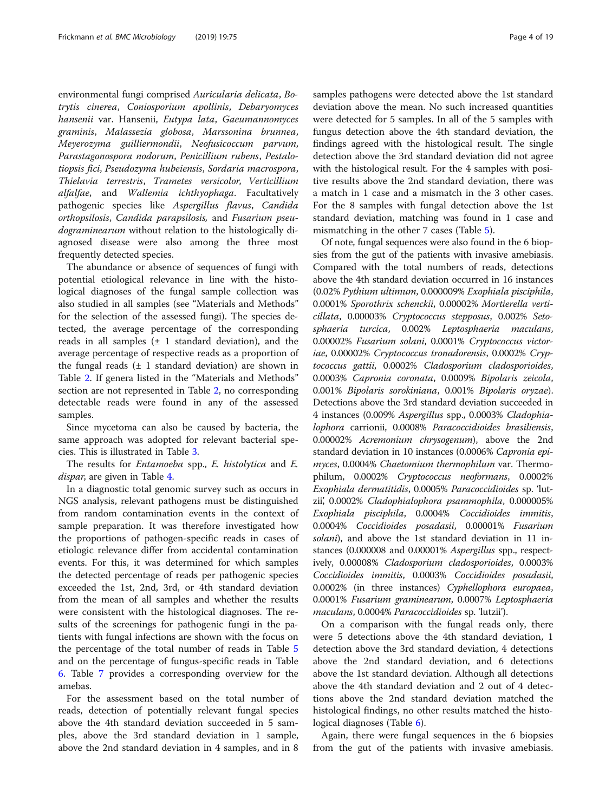environmental fungi comprised Auricularia delicata, Botrytis cinerea, Coniosporium apollinis, Debaryomyces hansenii var. Hansenii, Eutypa lata, Gaeumannomyces graminis, Malassezia globosa, Marssonina brunnea, Meyerozyma guilliermondii, Neofusicoccum parvum, Parastagonospora nodorum, Penicillium rubens, Pestalotiopsis fici, Pseudozyma hubeiensis, Sordaria macrospora, Thielavia terrestris, Trametes versicolor, Verticillium alfalfae, and Wallemia ichthyophaga. Facultatively pathogenic species like Aspergillus flavus, Candida orthopsilosis, Candida parapsilosis, and Fusarium pseudograminearum without relation to the histologically diagnosed disease were also among the three most frequently detected species.

The abundance or absence of sequences of fungi with potential etiological relevance in line with the histological diagnoses of the fungal sample collection was also studied in all samples (see "Materials and Methods" for the selection of the assessed fungi). The species detected, the average percentage of the corresponding reads in all samples  $(\pm 1)$  standard deviation), and the average percentage of respective reads as a proportion of the fungal reads  $(\pm 1)$  standard deviation) are shown in Table [2](#page-4-0). If genera listed in the "Materials and Methods" section are not represented in Table [2,](#page-4-0) no corresponding detectable reads were found in any of the assessed samples.

Since mycetoma can also be caused by bacteria, the same approach was adopted for relevant bacterial species. This is illustrated in Table [3.](#page-5-0)

The results for Entamoeba spp., E. histolytica and E. dispar, are given in Table [4](#page-5-0).

In a diagnostic total genomic survey such as occurs in NGS analysis, relevant pathogens must be distinguished from random contamination events in the context of sample preparation. It was therefore investigated how the proportions of pathogen-specific reads in cases of etiologic relevance differ from accidental contamination events. For this, it was determined for which samples the detected percentage of reads per pathogenic species exceeded the 1st, 2nd, 3rd, or 4th standard deviation from the mean of all samples and whether the results were consistent with the histological diagnoses. The results of the screenings for pathogenic fungi in the patients with fungal infections are shown with the focus on the percentage of the total number of reads in Table [5](#page-6-0) and on the percentage of fungus-specific reads in Table [6.](#page-7-0) Table [7](#page-7-0) provides a corresponding overview for the amebas.

For the assessment based on the total number of reads, detection of potentially relevant fungal species above the 4th standard deviation succeeded in 5 samples, above the 3rd standard deviation in 1 sample, above the 2nd standard deviation in 4 samples, and in 8

samples pathogens were detected above the 1st standard deviation above the mean. No such increased quantities were detected for 5 samples. In all of the 5 samples with fungus detection above the 4th standard deviation, the findings agreed with the histological result. The single detection above the 3rd standard deviation did not agree with the histological result. For the 4 samples with positive results above the 2nd standard deviation, there was a match in 1 case and a mismatch in the 3 other cases. For the 8 samples with fungal detection above the 1st standard deviation, matching was found in 1 case and mismatching in the other 7 cases (Table [5\)](#page-6-0).

Of note, fungal sequences were also found in the 6 biopsies from the gut of the patients with invasive amebiasis. Compared with the total numbers of reads, detections above the 4th standard deviation occurred in 16 instances (0.02% Pythium ultimum, 0.000009% Exophiala pisciphila, 0.0001% Sporothrix schenckii, 0.00002% Mortierella verticillata, 0.00003% Cryptococcus stepposus, 0.002% Setosphaeria turcica, 0.002% Leptosphaeria maculans, 0.00002% Fusarium solani, 0.0001% Cryptococcus victoriae, 0.00002% Cryptococcus tronadorensis, 0.0002% Cryptococcus gattii, 0.0002% Cladosporium cladosporioides, 0.0003% Capronia coronata, 0.0009% Bipolaris zeicola, 0.001% Bipolaris sorokiniana, 0.001% Bipolaris oryzae). Detections above the 3rd standard deviation succeeded in 4 instances (0.009% Aspergillus spp., 0.0003% Cladophialophora carrionii, 0.0008% Paracoccidioides brasiliensis, 0.00002% Acremonium chrysogenum), above the 2nd standard deviation in 10 instances (0.0006% Capronia epimyces, 0.0004% Chaetomium thermophilum var. Thermophilum, 0.0002% Cryptococcus neoformans, 0.0002% Exophiala dermatitidis, 0.0005% Paracoccidioides sp. 'lutzii', 0.0002% Cladophialophora psammophila, 0.000005% Exophiala pisciphila, 0.0004% Coccidioides immitis, 0.0004% Coccidioides posadasii, 0.00001% Fusarium solani), and above the 1st standard deviation in 11 instances (0.000008 and 0.00001% Aspergillus spp., respectively, 0.00008% Cladosporium cladosporioides, 0.0003% Coccidioides immitis, 0.0003% Coccidioides posadasii, 0.0002% (in three instances) Cyphellophora europaea, 0.0001% Fusarium graminearum, 0.0007% Leptosphaeria maculans, 0.0004% Paracoccidioides sp. 'lutzii').

On a comparison with the fungal reads only, there were 5 detections above the 4th standard deviation, 1 detection above the 3rd standard deviation, 4 detections above the 2nd standard deviation, and 6 detections above the 1st standard deviation. Although all detections above the 4th standard deviation and 2 out of 4 detections above the 2nd standard deviation matched the histological findings, no other results matched the histological diagnoses (Table [6](#page-7-0)).

Again, there were fungal sequences in the 6 biopsies from the gut of the patients with invasive amebiasis.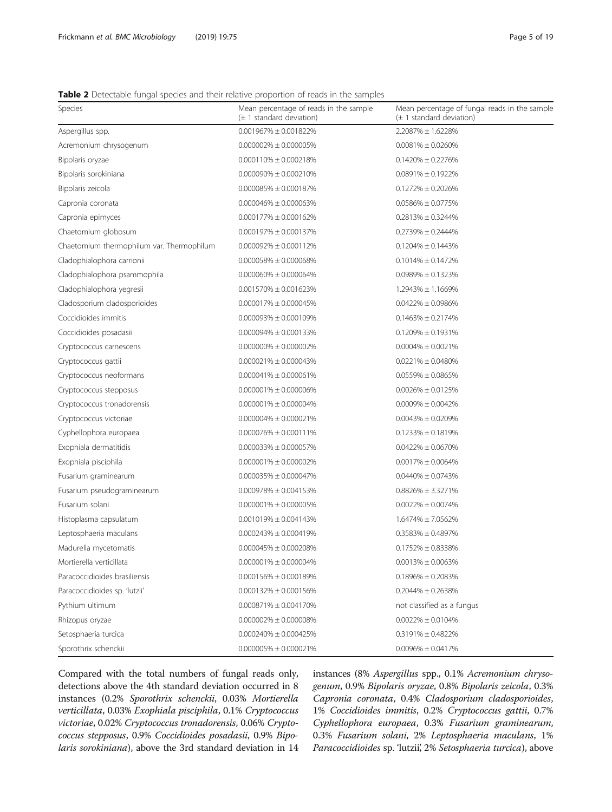# <span id="page-4-0"></span>Table 2 Detectable fungal species and their relative proportion of reads in the samples

| Species                                   | Mean percentage of reads in the sample<br>$(\pm 1$ standard deviation) | Mean percentage of fungal reads in the sample<br>$(\pm 1$ standard deviation) |
|-------------------------------------------|------------------------------------------------------------------------|-------------------------------------------------------------------------------|
| Aspergillus spp.                          | $0.001967\% \pm 0.001822\%$                                            | $2.2087% + 1.6228%$                                                           |
| Acremonium chrysogenum                    | $0.000002\% \pm 0.000005\%$                                            | $0.0081\% \pm 0.0260\%$                                                       |
| Bipolaris oryzae                          | $0.000110\% \pm 0.000218\%$                                            | $0.1420\% \pm 0.2276\%$                                                       |
| Bipolaris sorokiniana                     | $0.000090\% \pm 0.000210\%$                                            | $0.0891\% \pm 0.1922\%$                                                       |
| Bipolaris zeicola                         | $0.000085\% \pm 0.000187\%$                                            | $0.1272\% \pm 0.2026\%$                                                       |
| Capronia coronata                         | $0.000046\% \pm 0.000063\%$                                            | $0.0586\% \pm 0.0775\%$                                                       |
| Capronia epimyces                         | $0.000177\% \pm 0.000162\%$                                            | $0.2813\% \pm 0.3244\%$                                                       |
| Chaetomium globosum                       | $0.000197\% \pm 0.000137\%$                                            | $0.2739\% \pm 0.2444\%$                                                       |
| Chaetomium thermophilum var. Thermophilum | $0.000092\% \pm 0.000112\%$                                            | $0.1204\% \pm 0.1443\%$                                                       |
| Cladophialophora carrionii                | $0.000058\% \pm 0.000068\%$                                            | $0.1014\% \pm 0.1472\%$                                                       |
| Cladophialophora psammophila              | $0.000060\% \pm 0.000064\%$                                            | $0.0989\% \pm 0.1323\%$                                                       |
| Cladophialophora yegresii                 | $0.001570\% \pm 0.001623\%$                                            | 1.2943% ± 1.1669%                                                             |
| Cladosporium cladosporioides              | $0.000017\% \pm 0.000045\%$                                            | $0.0422\% \pm 0.0986\%$                                                       |
| Coccidioides immitis                      | $0.000093\% \pm 0.000109\%$                                            | $0.1463\% \pm 0.2174\%$                                                       |
| Coccidioides posadasii                    | $0.000094\% \pm 0.000133\%$                                            | $0.1209\% \pm 0.1931\%$                                                       |
| Cryptococcus carnescens                   | $0.000000\% \pm 0.000002\%$                                            | $0.0004\% \pm 0.0021\%$                                                       |
| Cryptococcus gattii                       | $0.000021\% \pm 0.000043\%$                                            | $0.0221\% \pm 0.0480\%$                                                       |
| Cryptococcus neoformans                   | $0.000041\% \pm 0.000061\%$                                            | $0.0559\% \pm 0.0865\%$                                                       |
| Cryptococcus stepposus                    | $0.000001\% \pm 0.000006\%$                                            | $0.0026\% \pm 0.0125\%$                                                       |
| Cryptococcus tronadorensis                | $0.000001\% \pm 0.000004\%$                                            | $0.0009\% \pm 0.0042\%$                                                       |
| Cryptococcus victoriae                    | $0.000004\% \pm 0.000021\%$                                            | $0.0043\% \pm 0.0209\%$                                                       |
| Cyphellophora europaea                    | $0.000076\% \pm 0.000111\%$                                            | $0.1233\% \pm 0.1819\%$                                                       |
| Exophiala dermatitidis                    | $0.000033\% \pm 0.000057\%$                                            | $0.0422\% \pm 0.0670\%$                                                       |
| Exophiala pisciphila                      | $0.000001\% \pm 0.000002\%$                                            | $0.0017\% \pm 0.0064\%$                                                       |
| Fusarium graminearum                      | $0.000035\% \pm 0.000047\%$                                            | $0.0440\% \pm 0.0743\%$                                                       |
| Fusarium pseudograminearum                | $0.000978\% \pm 0.004153\%$                                            | $0.8826\% \pm 3.3271\%$                                                       |
| Fusarium solani                           | $0.000001\% \pm 0.000005\%$                                            | $0.0022\% \pm 0.0074\%$                                                       |
| Histoplasma capsulatum                    | $0.001019\% \pm 0.004143\%$                                            | 1.6474% ± 7.0562%                                                             |
| Leptosphaeria maculans                    | $0.000243\% \pm 0.000419\%$                                            | $0.3583\% \pm 0.4897\%$                                                       |
| Madurella mycetomatis                     | $0.000045\% \pm 0.000208\%$                                            | $0.1752\% \pm 0.8338\%$                                                       |
| Mortierella verticillata                  | $0.000001\% \pm 0.000004\%$                                            | $0.0013\% \pm 0.0063\%$                                                       |
| Paracoccidioides brasiliensis             | $0.000156\% \pm 0.000189\%$                                            | $0.1896\% \pm 0.2083\%$                                                       |
| Paracoccidioides sp. 'lutzii'             | $0.000132\% \pm 0.000156\%$                                            | $0.2044\% \pm 0.2638\%$                                                       |
| Pythium ultimum                           | $0.000871\% \pm 0.004170\%$                                            | not classified as a fungus                                                    |
| Rhizopus oryzae                           | $0.000002\% \pm 0.000008\%$                                            | $0.0022\% \pm 0.0104\%$                                                       |
| Setosphaeria turcica                      | $0.000240\% \pm 0.000425\%$                                            | $0.3191\% \pm 0.4822\%$                                                       |
| Sporothrix schenckii                      | $0.000005\% \pm 0.000021\%$                                            | $0.0096\% \pm 0.0417\%$                                                       |

Compared with the total numbers of fungal reads only, detections above the 4th standard deviation occurred in 8 instances (0.2% Sporothrix schenckii, 0.03% Mortierella verticillata, 0.03% Exophiala pisciphila, 0.1% Cryptococcus victoriae, 0.02% Cryptococcus tronadorensis, 0.06% Cryptococcus stepposus, 0.9% Coccidioides posadasii, 0.9% Bipolaris sorokiniana), above the 3rd standard deviation in 14

instances (8% Aspergillus spp., 0.1% Acremonium chrysogenum, 0.9% Bipolaris oryzae, 0.8% Bipolaris zeicola, 0.3% Capronia coronata, 0.4% Cladosporium cladosporioides, 1% Coccidioides immitis, 0.2% Cryptococcus gattii, 0.7% Cyphellophora europaea, 0.3% Fusarium graminearum, 0.3% Fusarium solani, 2% Leptosphaeria maculans, 1% Paracoccidioides sp. 'lutzii', 2% Setosphaeria turcica), above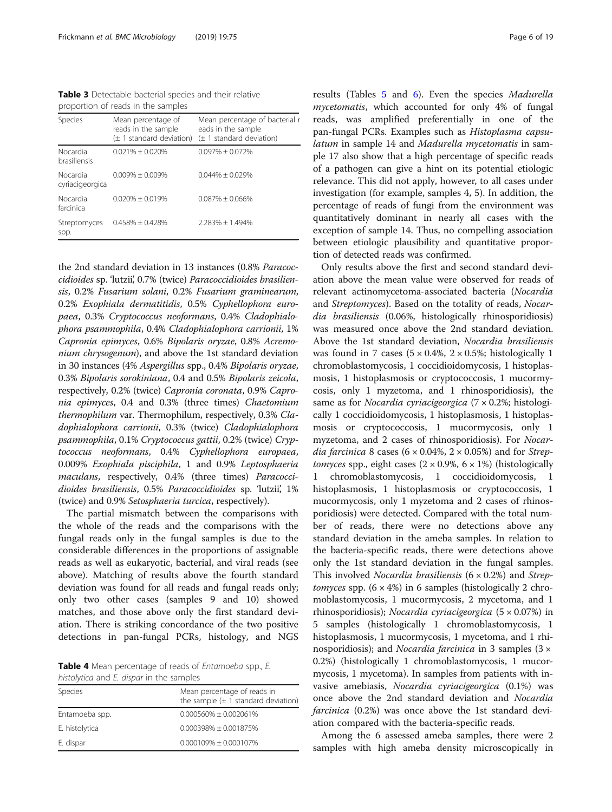<span id="page-5-0"></span>Table 3 Detectable bacterial species and their relative proportion of reads in the samples

| Species                     | Mean percentage of<br>reads in the sample<br>$(\pm 1$ standard deviation) | Mean percentage of bacterial r<br>eads in the sample<br>$(\pm 1$ standard deviation) |
|-----------------------------|---------------------------------------------------------------------------|--------------------------------------------------------------------------------------|
| Nocardia<br>brasiliensis    | $0.021\% + 0.020\%$                                                       | $0.097\% + 0.072\%$                                                                  |
| Nocardia<br>cyriacigeorgica | $0.009\% + 0.009\%$                                                       | $0.044\% + 0.029\%$                                                                  |
| Nocardia<br>farcinica       | $0.020\% + 0.019\%$                                                       | $0.087\% + 0.066\%$                                                                  |
| Streptomyces<br>spp.        | $0.458\% + 0.428\%$                                                       | $2.283\% + 1.494\%$                                                                  |

the 2nd standard deviation in 13 instances (0.8% Paracoccidioides sp. 'lutzii', 0.7% (twice) Paracoccidioides brasiliensis, 0.2% Fusarium solani, 0.2% Fusarium graminearum, 0.2% Exophiala dermatitidis, 0.5% Cyphellophora europaea, 0.3% Cryptococcus neoformans, 0.4% Cladophialophora psammophila, 0.4% Cladophialophora carrionii, 1% Capronia epimyces, 0.6% Bipolaris oryzae, 0.8% Acremonium chrysogenum), and above the 1st standard deviation in 30 instances (4% Aspergillus spp., 0.4% Bipolaris oryzae, 0.3% Bipolaris sorokiniana, 0.4 and 0.5% Bipolaris zeicola, respectively, 0.2% (twice) Capronia coronata, 0.9% Capronia epimyces, 0.4 and 0.3% (three times) Chaetomium thermophilum var. Thermophilum, respectively, 0.3% Cladophialophora carrionii, 0.3% (twice) Cladophialophora psammophila, 0.1% Cryptococcus gattii, 0.2% (twice) Cryptococcus neoformans, 0.4% Cyphellophora europaea, 0.009% Exophiala pisciphila, 1 and 0.9% Leptosphaeria maculans, respectively, 0.4% (three times) Paracoccidioides brasiliensis, 0.5% Paracoccidioides sp. 'lutzii', 1% (twice) and 0.9% Setosphaeria turcica, respectively).

The partial mismatch between the comparisons with the whole of the reads and the comparisons with the fungal reads only in the fungal samples is due to the considerable differences in the proportions of assignable reads as well as eukaryotic, bacterial, and viral reads (see above). Matching of results above the fourth standard deviation was found for all reads and fungal reads only; only two other cases (samples 9 and 10) showed matches, and those above only the first standard deviation. There is striking concordance of the two positive detections in pan-fungal PCRs, histology, and NGS

Table 4 Mean percentage of reads of Entamoeba spp., E. histolytica and E. dispar in the samples

| Species        | Mean percentage of reads in<br>the sample $(\pm 1)$ standard deviation) |
|----------------|-------------------------------------------------------------------------|
| Entamoeba spp. | $0.000560\% \pm 0.002061\%$                                             |
| E. histolytica | $0.000398\% \pm 0.001875\%$                                             |
| E. dispar      | $0.000109\% \pm 0.000107\%$                                             |

results (Tables [5](#page-6-0) and [6](#page-7-0)). Even the species Madurella mycetomatis, which accounted for only 4% of fungal reads, was amplified preferentially in one of the pan-fungal PCRs. Examples such as Histoplasma capsulatum in sample 14 and Madurella mycetomatis in sample 17 also show that a high percentage of specific reads of a pathogen can give a hint on its potential etiologic relevance. This did not apply, however, to all cases under investigation (for example, samples 4, 5). In addition, the percentage of reads of fungi from the environment was quantitatively dominant in nearly all cases with the exception of sample 14. Thus, no compelling association between etiologic plausibility and quantitative proportion of detected reads was confirmed.

Only results above the first and second standard deviation above the mean value were observed for reads of relevant actinomycetoma-associated bacteria (Nocardia and Streptomyces). Based on the totality of reads, Nocardia brasiliensis (0.06%, histologically rhinosporidiosis) was measured once above the 2nd standard deviation. Above the 1st standard deviation, Nocardia brasiliensis was found in 7 cases  $(5 \times 0.4\%, 2 \times 0.5\%;$  histologically 1 chromoblastomycosis, 1 coccidioidomycosis, 1 histoplasmosis, 1 histoplasmosis or cryptococcosis, 1 mucormycosis, only 1 myzetoma, and 1 rhinosporidiosis), the same as for *Nocardia cyriacigeorgica*  $(7 \times 0.2\%)$ ; histologically 1 coccidioidomycosis, 1 histoplasmosis, 1 histoplasmosis or cryptococcosis, 1 mucormycosis, only 1 myzetoma, and 2 cases of rhinosporidiosis). For Nocar*dia farcinica* 8 cases ( $6 \times 0.04\%$ ,  $2 \times 0.05\%$ ) and for *Strep*tomyces spp., eight cases  $(2 \times 0.9\% , 6 \times 1\%)$  (histologically 1 chromoblastomycosis, 1 coccidioidomycosis, 1 histoplasmosis, 1 histoplasmosis or cryptococcosis, 1 mucormycosis, only 1 myzetoma and 2 cases of rhinosporidiosis) were detected. Compared with the total number of reads, there were no detections above any standard deviation in the ameba samples. In relation to the bacteria-specific reads, there were detections above only the 1st standard deviation in the fungal samples. This involved *Nocardia brasiliensis*  $(6 \times 0.2\%)$  and *Streptomyces* spp.  $(6 \times 4\%)$  in 6 samples (histologically 2 chromoblastomycosis, 1 mucormycosis, 2 mycetoma, and 1 rhinosporidiosis); Nocardia cyriacigeorgica  $(5 \times 0.07\%)$  in 5 samples (histologically 1 chromoblastomycosis, 1 histoplasmosis, 1 mucormycosis, 1 mycetoma, and 1 rhinosporidiosis); and *Nocardia farcinica* in 3 samples  $(3 \times$ 0.2%) (histologically 1 chromoblastomycosis, 1 mucormycosis, 1 mycetoma). In samples from patients with invasive amebiasis, Nocardia cyriacigeorgica (0.1%) was once above the 2nd standard deviation and Nocardia *farcinica* (0.2%) was once above the 1st standard deviation compared with the bacteria-specific reads.

Among the 6 assessed ameba samples, there were 2 samples with high ameba density microscopically in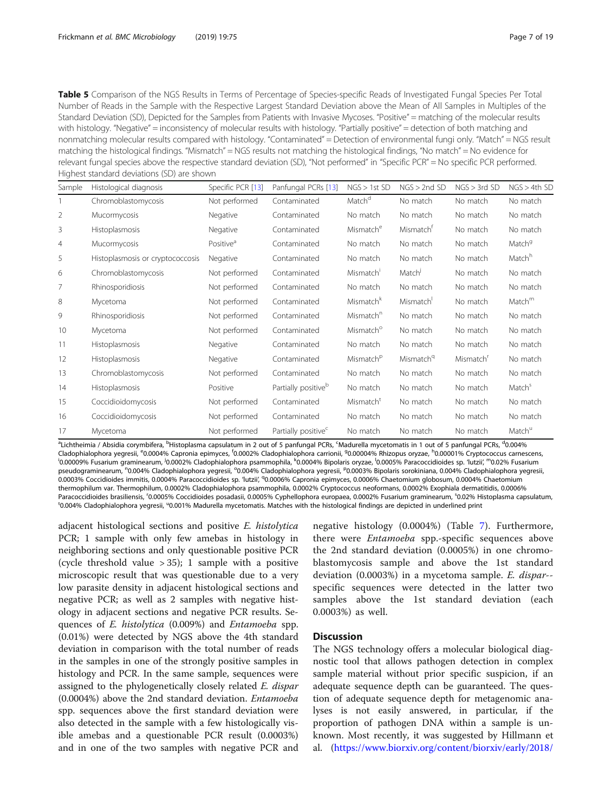<span id="page-6-0"></span>Table 5 Comparison of the NGS Results in Terms of Percentage of Species-specific Reads of Investigated Fungal Species Per Total Number of Reads in the Sample with the Respective Largest Standard Deviation above the Mean of All Samples in Multiples of the Standard Deviation (SD), Depicted for the Samples from Patients with Invasive Mycoses. "Positive" = matching of the molecular results with histology. "Negative" = inconsistency of molecular results with histology. "Partially positive" = detection of both matching and nonmatching molecular results compared with histology. "Contaminated" = Detection of environmental fungi only. "Match" = NGS result matching the histological findings. "Mismatch" = NGS results not matching the histological findings, "No match" = No evidence for relevant fungal species above the respective standard deviation (SD), "Not performed" in "Specific PCR" = No specific PCR performed. Highest standard deviations (SD) are shown

| Sample | Histological diagnosis           | Specific PCR [13]     | Panfungal PCRs [13]             | NGS > 1st SD          | NGS > 2nd SD          | NGS > 3rd SD          | NGS > 4th SD       |
|--------|----------------------------------|-----------------------|---------------------------------|-----------------------|-----------------------|-----------------------|--------------------|
|        | Chromoblastomycosis              | Not performed         | Contaminated                    | Match <sup>d</sup>    | No match              | No match              | No match           |
| 2      | Mucormycosis                     | Negative              | Contaminated                    | No match              | No match              | No match              | No match           |
| 3      | Histoplasmosis                   | Negative              | Contaminated                    | Mismatch <sup>e</sup> | Mismatch <sup>†</sup> | No match              | No match           |
| 4      | Mucormycosis                     | Positive <sup>a</sup> | Contaminated                    | No match              | No match              | No match              | Match <sup>9</sup> |
| 5      | Histoplasmosis or cryptococcosis | Negative              | Contaminated                    | No match              | No match              | No match              | Match <sup>h</sup> |
| 6      | Chromoblastomycosis              | Not performed         | Contaminated                    | Mismatch <sup>1</sup> | Match                 | No match              | No match           |
| 7      | Rhinosporidiosis                 | Not performed         | Contaminated                    | No match              | No match              | No match              | No match           |
| 8      | Mycetoma                         | Not performed         | Contaminated                    | Mismatch <sup>k</sup> | Mismatch <sup>1</sup> | No match              | Match <sup>m</sup> |
| 9      | Rhinosporidiosis                 | Not performed         | Contaminated                    | Mismatch <sup>n</sup> | No match              | No match              | No match           |
| 10     | Mycetoma                         | Not performed         | Contaminated                    | Mismatch <sup>o</sup> | No match              | No match              | No match           |
| 11     | Histoplasmosis                   | Negative              | Contaminated                    | No match              | No match              | No match              | No match           |
| 12     | Histoplasmosis                   | Negative              | Contaminated                    | Mismatch <sup>p</sup> | Mismatch <sup>q</sup> | Mismatch <sup>r</sup> | No match           |
| 13     | Chromoblastomycosis              | Not performed         | Contaminated                    | No match              | No match              | No match              | No match           |
| 14     | Histoplasmosis                   | Positive              | Partially positive <sup>b</sup> | No match              | No match              | No match              | Match <sup>s</sup> |
| 15     | Coccidioidomycosis               | Not performed         | Contaminated                    | Mismatch <sup>t</sup> | No match              | No match              | No match           |
| 16     | Coccidioidomycosis               | Not performed         | Contaminated                    | No match              | No match              | No match              | No match           |
| 17     | Mycetoma                         | Not performed         | Partially positive <sup>c</sup> | No match              | No match              | No match              | Match <sup>u</sup> |

<sup>a</sup>Lichtheimia / Absidia corymbifera, <sup>b</sup>Histoplasma capsulatum in 2 out of 5 panfungal PCRs, <sup>c</sup>Madurella mycetomatis in 1 out of 5 panfungal PCRs, <sup>d</sup>0.004% Cladophialophora yegresii, <sup>e</sup>0.0004% Capronia epimyces, <sup>f</sup>0.0002% Cladophialophora carrionii, <sup>9</sup>0.0004% Rhizopus oryzae, <sup>h</sup>0.00001% Cryptococcus carnescens,<br><sup>Io.000004 Fuerium grapinoarum <sup>Jo.00024</sup> Cladophialophora ps</sup> 0.00009% Fusarium graminearum, <sup>j</sup>0.0002% Cladophialophora psammophila, <sup>k</sup>0.0004% Bipolaris oryzae, <sup>l</sup>0.0005% Paracoccidioides sp. 'lutzii', <sup>m</sup>0.02% Fusarium pseudograminearum, <sup>n</sup>0.004% Cladophialophora yegresii, °0.004% Cladophialophora yegresii, <sup>p</sup>0.0003% Bipolaris sorokiniana, 0.004% Cladophialophora yegresii, 0.0003% Coccidioides immitis, 0.0004% Paracoccidioides sp. 'lutzii', <sup>q</sup>0.0006% Capronia epimyces, 0.0006% Chaetomium globosum, 0.0004% Chaetomium thermophilum var. Thermophilum, 0.0002% Cladophialophora psammophila, 0.0002% Cryptococcus neoformans, 0.0002% Exophiala dermatitidis, 0.0006% Paracoccidioides brasiliensis, <sup>r</sup>0.0005% Coccidioides posadasii, 0.0005% Cyphellophora europaea, 0.0002% Fusarium graminearum, <sup>s</sup>0.02% Histoplasma capsulatum,<br><sup>to 004% Cladophialophora vegresii, <sup>uo</sup> 001% Madurella mycet</sup> 0.004% Cladophialophora yegresii, <sup>u</sup>0.001% Madurella mycetomatis. Matches with the histological findings are depicted in underlined print

adjacent histological sections and positive E. histolytica PCR; 1 sample with only few amebas in histology in neighboring sections and only questionable positive PCR (cycle threshold value  $>$  35); 1 sample with a positive microscopic result that was questionable due to a very low parasite density in adjacent histological sections and negative PCR; as well as 2 samples with negative histology in adjacent sections and negative PCR results. Sequences of E. histolytica (0.009%) and Entamoeba spp. (0.01%) were detected by NGS above the 4th standard deviation in comparison with the total number of reads in the samples in one of the strongly positive samples in histology and PCR. In the same sample, sequences were assigned to the phylogenetically closely related E. dispar (0.0004%) above the 2nd standard deviation. Entamoeba spp. sequences above the first standard deviation were also detected in the sample with a few histologically visible amebas and a questionable PCR result (0.0003%) and in one of the two samples with negative PCR and

negative histology (0.0004%) (Table [7\)](#page-7-0). Furthermore, there were *Entamoeba* spp.-specific sequences above the 2nd standard deviation (0.0005%) in one chromoblastomycosis sample and above the 1st standard deviation (0.0003%) in a mycetoma sample. E. dispar- specific sequences were detected in the latter two samples above the 1st standard deviation (each 0.0003%) as well.

# **Discussion**

The NGS technology offers a molecular biological diagnostic tool that allows pathogen detection in complex sample material without prior specific suspicion, if an adequate sequence depth can be guaranteed. The question of adequate sequence depth for metagenomic analyses is not easily answered, in particular, if the proportion of pathogen DNA within a sample is unknown. Most recently, it was suggested by Hillmann et al. [\(https://www.biorxiv.org/content/biorxiv/early/2018/](https://www.biorxiv.org/content/biorxiv/early/2018/05/12/320986.full.pdf)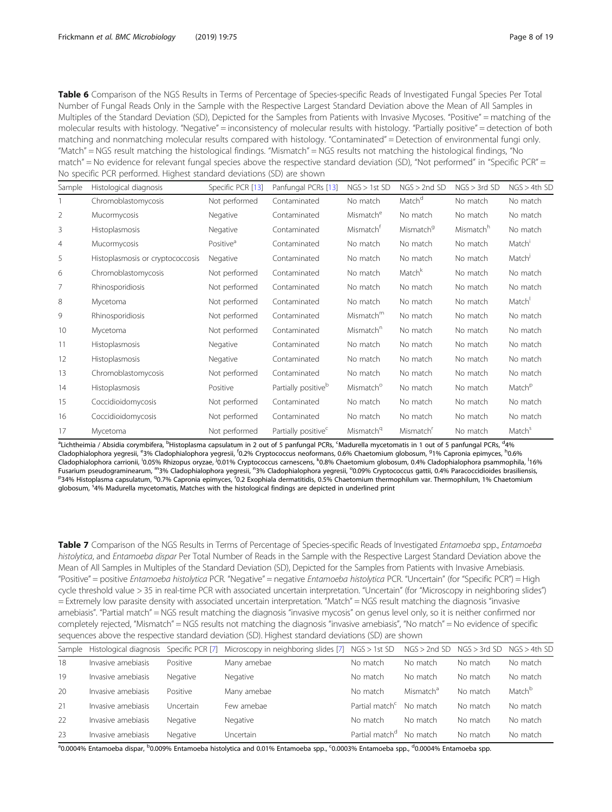<span id="page-7-0"></span>Table 6 Comparison of the NGS Results in Terms of Percentage of Species-specific Reads of Investigated Fungal Species Per Total Number of Fungal Reads Only in the Sample with the Respective Largest Standard Deviation above the Mean of All Samples in Multiples of the Standard Deviation (SD), Depicted for the Samples from Patients with Invasive Mycoses. "Positive" = matching of the molecular results with histology. "Negative" = inconsistency of molecular results with histology. "Partially positive" = detection of both matching and nonmatching molecular results compared with histology. "Contaminated" = Detection of environmental fungi only. "Match" = NGS result matching the histological findings. "Mismatch" = NGS results not matching the histological findings, "No match" = No evidence for relevant fungal species above the respective standard deviation (SD), "Not performed" in "Specific PCR" = No specific PCR performed. Highest standard deviations (SD) are shown

| Sample         | Histological diagnosis           | Specific PCR [13]     | Panfungal PCRs [13]             | NGS > 1st SD          | NGS > 2nd SD          | NGS > 3rd SD          | NGS > 4th SD       |
|----------------|----------------------------------|-----------------------|---------------------------------|-----------------------|-----------------------|-----------------------|--------------------|
|                | Chromoblastomycosis              | Not performed         | Contaminated                    | No match              | Match <sup>d</sup>    | No match              | No match           |
| $\overline{2}$ | Mucormycosis                     | Negative              | Contaminated                    | Mismatch <sup>e</sup> | No match              | No match              | No match           |
| 3              | Histoplasmosis                   | Negative              | Contaminated                    | Mismatch <sup>t</sup> | Mismatch <sup>9</sup> | Mismatch <sup>h</sup> | No match           |
| 4              | Mucormycosis                     | Positive <sup>a</sup> | Contaminated                    | No match              | No match              | No match              | Match <sup>1</sup> |
| 5              | Histoplasmosis or cryptococcosis | Negative              | Contaminated                    | No match              | No match              | No match              | Match              |
| 6              | Chromoblastomycosis              | Not performed         | Contaminated                    | No match              | Match <sup>k</sup>    | No match              | No match           |
| 7              | Rhinosporidiosis                 | Not performed         | Contaminated                    | No match              | No match              | No match              | No match           |
| 8              | Mycetoma                         | Not performed         | Contaminated                    | No match              | No match              | No match              | Match <sup>1</sup> |
| 9              | Rhinosporidiosis                 | Not performed         | Contaminated                    | Mismatch <sup>m</sup> | No match              | No match              | No match           |
| 10             | Mycetoma                         | Not performed         | Contaminated                    | Mismatch <sup>n</sup> | No match              | No match              | No match           |
| 11             | Histoplasmosis                   | Negative              | Contaminated                    | No match              | No match              | No match              | No match           |
| 12             | Histoplasmosis                   | Negative              | Contaminated                    | No match              | No match              | No match              | No match           |
| 13             | Chromoblastomycosis              | Not performed         | Contaminated                    | No match              | No match              | No match              | No match           |
| 14             | Histoplasmosis                   | Positive              | Partially positive <sup>b</sup> | Mismatch <sup>o</sup> | No match              | No match              | Match <sup>p</sup> |
| 15             | Coccidioidomycosis               | Not performed         | Contaminated                    | No match              | No match              | No match              | No match           |
| 16             | Coccidioidomycosis               | Not performed         | Contaminated                    | No match              | No match              | No match              | No match           |
| 17             | Mycetoma                         | Not performed         | Partially positive <sup>c</sup> | Mismatch <sup>q</sup> | Mismatch <sup>r</sup> | No match              | Match <sup>s</sup> |

<sup>a</sup>Lichtheimia / Absidia corymbifera, <sup>b</sup>Histoplasma capsulatum in 2 out of 5 panfungal PCRs, <sup>c</sup>Madurella mycetomatis in 1 out of 5 panfungal PCRs, <sup>d</sup>4% Cladophialophora yegresii, <sup>e</sup>3% Cladophialophora yegresii, <sup>f</sup>0.2% Cryptococcus neoformans, 0.6% Chaetomium globosum, <sup>9</sup>1% Capronia epimyces, <sup>h</sup>0.6% Cladophialophora carrionii, 0.05% Rhizopus oryzae, <sup>1</sup>0.01% Cryptococcus carnescens, <sup>k</sup>0.8% Chaetomium globosum, 0.4% Cladophialophora psammophila, <sup>1</sup>16% Fusarium pseudograminearum, <sup>m</sup>3% Cladophialophora yegresii, <sup>n</sup>3% Cladophialophora yegresii, <sup>0</sup>0.09% Cryptococcus gattii, 0.4% Paracoccidioides brasiliensis,<br>P34% Histoplasma capsulatum, <sup>90,7%</sup> Capronia enimvces, <sup>10,2</sup> 34% Histoplasma capsulatum, <sup>q</sup>0.7% Capronia epimyces, <sup>r</sup>0.2 Exophiala dermatitidis, 0.5% Chaetomium thermophilum var. Thermophilum, 1% Chaetomium globosum, <sup>s</sup>4% Madurella mycetomatis, Matches with the histological findings are depicted in underlined print

Table 7 Comparison of the NGS Results in Terms of Percentage of Species-specific Reads of Investigated Entamoeba spp., Entamoeba histolytica, and Entamoeba dispar Per Total Number of Reads in the Sample with the Respective Largest Standard Deviation above the Mean of All Samples in Multiples of the Standard Deviation (SD), Depicted for the Samples from Patients with Invasive Amebiasis. "Positive" = positive Entamoeba histolytica PCR. "Negative" = negative Entamoeba histolytica PCR. "Uncertain" (for "Specific PCR") = High cycle threshold value > 35 in real-time PCR with associated uncertain interpretation. "Uncertain" (for "Microscopy in neighboring slides") = Extremely low parasite density with associated uncertain interpretation. "Match" = NGS result matching the diagnosis "invasive amebiasis". "Partial match" = NGS result matching the diagnosis "invasive mycosis" on genus level only, so it is neither confirmed nor completely rejected, "Mismatch" = NGS results not matching the diagnosis "invasive amebiasis", "No match" = No evidence of specific sequences above the respective standard deviation (SD). Highest standard deviations (SD) are shown

| Sample |                    |           | Histological diagnosis Specific PCR [7] Microscopy in neighboring slides [7] NGS > 1st SD |                            | $NGS > 2nd SD$ $NGS > 3rd SD$ |          | NGS > 4th SD       |
|--------|--------------------|-----------|-------------------------------------------------------------------------------------------|----------------------------|-------------------------------|----------|--------------------|
| 18     | Invasive amebiasis | Positive  | Many amebae                                                                               | No match                   | No match                      | No match | No match           |
| 19     | Invasive amebiasis | Negative  | Negative                                                                                  | No match                   | No match                      | No match | No match           |
| 20     | Invasive amebiasis | Positive  | Many amebae                                                                               | No match                   | Mismatch <sup>a</sup>         | No match | Match <sup>b</sup> |
| 21     | Invasive amebiasis | Uncertain | Few amebae                                                                                | Partial match <sup>c</sup> | No match                      | No match | No match           |
| 22     | Invasive amebiasis | Negative  | Negative                                                                                  | No match                   | No match                      | No match | No match           |
| 23     | Invasive amebiasis | Negative  | Uncertain                                                                                 | Partial match <sup>d</sup> | No match                      | No match | No match           |

ª0.0004% Entamoeba dispar, <sup>b</sup>0.009% Entamoeba histolytica and 0.01% Entamoeba spp., <sup>c</sup>0.0003% Entamoeba spp., <sup>d</sup>0.0004% Entamoeba spp.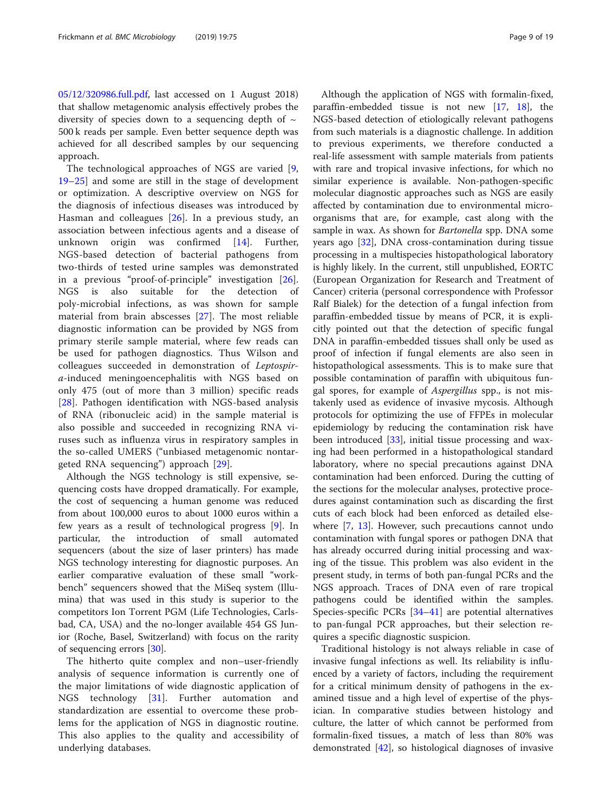The technological approaches of NGS are varied [\[9](#page-16-0), [19](#page-17-0)–[25\]](#page-17-0) and some are still in the stage of development or optimization. A descriptive overview on NGS for the diagnosis of infectious diseases was introduced by Hasman and colleagues [[26](#page-17-0)]. In a previous study, an association between infectious agents and a disease of unknown origin was confirmed [\[14](#page-16-0)]. Further, NGS-based detection of bacterial pathogens from two-thirds of tested urine samples was demonstrated in a previous "proof-of-principle" investigation [\[26](#page-17-0)]. NGS is also suitable for the detection of poly-microbial infections, as was shown for sample material from brain abscesses [\[27](#page-17-0)]. The most reliable diagnostic information can be provided by NGS from primary sterile sample material, where few reads can be used for pathogen diagnostics. Thus Wilson and colleagues succeeded in demonstration of Leptospira-induced meningoencephalitis with NGS based on only 475 (out of more than 3 million) specific reads [[28\]](#page-17-0). Pathogen identification with NGS-based analysis of RNA (ribonucleic acid) in the sample material is also possible and succeeded in recognizing RNA viruses such as influenza virus in respiratory samples in the so-called UMERS ("unbiased metagenomic nontargeted RNA sequencing") approach [[29\]](#page-17-0).

Although the NGS technology is still expensive, sequencing costs have dropped dramatically. For example, the cost of sequencing a human genome was reduced from about 100,000 euros to about 1000 euros within a few years as a result of technological progress [[9\]](#page-16-0). In particular, the introduction of small automated sequencers (about the size of laser printers) has made NGS technology interesting for diagnostic purposes. An earlier comparative evaluation of these small "workbench" sequencers showed that the MiSeq system (Illumina) that was used in this study is superior to the competitors Ion Torrent PGM (Life Technologies, Carlsbad, CA, USA) and the no-longer available 454 GS Junior (Roche, Basel, Switzerland) with focus on the rarity of sequencing errors [[30](#page-17-0)].

The hitherto quite complex and non–user-friendly analysis of sequence information is currently one of the major limitations of wide diagnostic application of NGS technology [[31\]](#page-17-0). Further automation and standardization are essential to overcome these problems for the application of NGS in diagnostic routine. This also applies to the quality and accessibility of underlying databases.

Although the application of NGS with formalin-fixed, paraffin-embedded tissue is not new [\[17](#page-17-0), [18\]](#page-17-0), the NGS-based detection of etiologically relevant pathogens from such materials is a diagnostic challenge. In addition to previous experiments, we therefore conducted a real-life assessment with sample materials from patients with rare and tropical invasive infections, for which no similar experience is available. Non-pathogen-specific molecular diagnostic approaches such as NGS are easily affected by contamination due to environmental microorganisms that are, for example, cast along with the sample in wax. As shown for Bartonella spp. DNA some years ago [\[32](#page-17-0)], DNA cross-contamination during tissue processing in a multispecies histopathological laboratory is highly likely. In the current, still unpublished, EORTC (European Organization for Research and Treatment of Cancer) criteria (personal correspondence with Professor Ralf Bialek) for the detection of a fungal infection from paraffin-embedded tissue by means of PCR, it is explicitly pointed out that the detection of specific fungal DNA in paraffin-embedded tissues shall only be used as proof of infection if fungal elements are also seen in histopathological assessments. This is to make sure that possible contamination of paraffin with ubiquitous fungal spores, for example of Aspergillus spp., is not mistakenly used as evidence of invasive mycosis. Although protocols for optimizing the use of FFPEs in molecular epidemiology by reducing the contamination risk have been introduced [[33](#page-17-0)], initial tissue processing and waxing had been performed in a histopathological standard laboratory, where no special precautions against DNA contamination had been enforced. During the cutting of the sections for the molecular analyses, protective procedures against contamination such as discarding the first cuts of each block had been enforced as detailed else-where [[7,](#page-16-0) [13](#page-16-0)]. However, such precautions cannot undo contamination with fungal spores or pathogen DNA that has already occurred during initial processing and waxing of the tissue. This problem was also evident in the present study, in terms of both pan-fungal PCRs and the NGS approach. Traces of DNA even of rare tropical pathogens could be identified within the samples. Species-specific PCRs [\[34](#page-17-0)–[41\]](#page-17-0) are potential alternatives to pan-fungal PCR approaches, but their selection requires a specific diagnostic suspicion.

Traditional histology is not always reliable in case of invasive fungal infections as well. Its reliability is influenced by a variety of factors, including the requirement for a critical minimum density of pathogens in the examined tissue and a high level of expertise of the physician. In comparative studies between histology and culture, the latter of which cannot be performed from formalin-fixed tissues, a match of less than 80% was demonstrated [\[42\]](#page-17-0), so histological diagnoses of invasive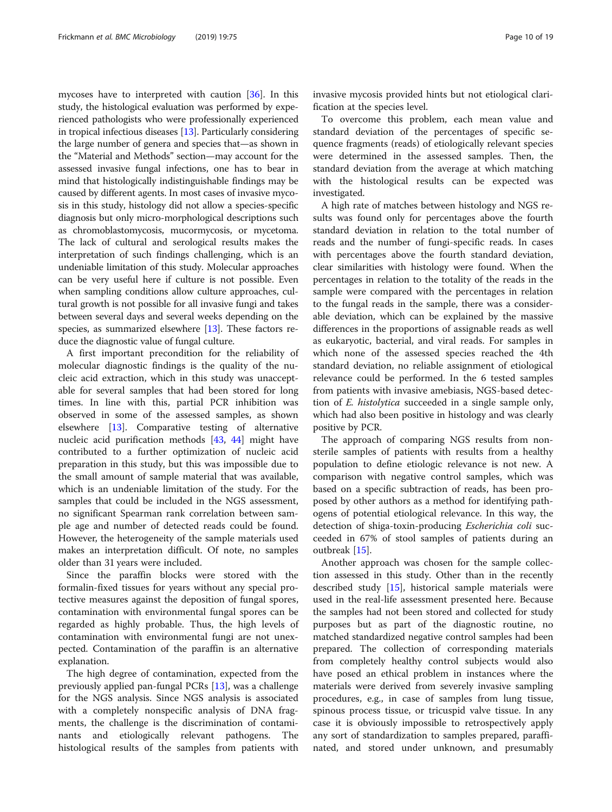mycoses have to interpreted with caution [\[36\]](#page-17-0). In this study, the histological evaluation was performed by experienced pathologists who were professionally experienced in tropical infectious diseases [[13](#page-16-0)]. Particularly considering the large number of genera and species that—as shown in the "Material and Methods" section—may account for the assessed invasive fungal infections, one has to bear in mind that histologically indistinguishable findings may be caused by different agents. In most cases of invasive mycosis in this study, histology did not allow a species-specific diagnosis but only micro-morphological descriptions such as chromoblastomycosis, mucormycosis, or mycetoma. The lack of cultural and serological results makes the interpretation of such findings challenging, which is an undeniable limitation of this study. Molecular approaches can be very useful here if culture is not possible. Even when sampling conditions allow culture approaches, cultural growth is not possible for all invasive fungi and takes between several days and several weeks depending on the species, as summarized elsewhere [[13\]](#page-16-0). These factors reduce the diagnostic value of fungal culture.

A first important precondition for the reliability of molecular diagnostic findings is the quality of the nucleic acid extraction, which in this study was unacceptable for several samples that had been stored for long times. In line with this, partial PCR inhibition was observed in some of the assessed samples, as shown elsewhere [[13\]](#page-16-0). Comparative testing of alternative nucleic acid purification methods [\[43,](#page-17-0) [44\]](#page-17-0) might have contributed to a further optimization of nucleic acid preparation in this study, but this was impossible due to the small amount of sample material that was available, which is an undeniable limitation of the study. For the samples that could be included in the NGS assessment, no significant Spearman rank correlation between sample age and number of detected reads could be found. However, the heterogeneity of the sample materials used makes an interpretation difficult. Of note, no samples older than 31 years were included.

Since the paraffin blocks were stored with the formalin-fixed tissues for years without any special protective measures against the deposition of fungal spores, contamination with environmental fungal spores can be regarded as highly probable. Thus, the high levels of contamination with environmental fungi are not unexpected. Contamination of the paraffin is an alternative explanation.

The high degree of contamination, expected from the previously applied pan-fungal PCRs [[13\]](#page-16-0), was a challenge for the NGS analysis. Since NGS analysis is associated with a completely nonspecific analysis of DNA fragments, the challenge is the discrimination of contaminants and etiologically relevant pathogens. The histological results of the samples from patients with invasive mycosis provided hints but not etiological clarification at the species level.

To overcome this problem, each mean value and standard deviation of the percentages of specific sequence fragments (reads) of etiologically relevant species were determined in the assessed samples. Then, the standard deviation from the average at which matching with the histological results can be expected was investigated.

A high rate of matches between histology and NGS results was found only for percentages above the fourth standard deviation in relation to the total number of reads and the number of fungi-specific reads. In cases with percentages above the fourth standard deviation, clear similarities with histology were found. When the percentages in relation to the totality of the reads in the sample were compared with the percentages in relation to the fungal reads in the sample, there was a considerable deviation, which can be explained by the massive differences in the proportions of assignable reads as well as eukaryotic, bacterial, and viral reads. For samples in which none of the assessed species reached the 4th standard deviation, no reliable assignment of etiological relevance could be performed. In the 6 tested samples from patients with invasive amebiasis, NGS-based detection of E. histolytica succeeded in a single sample only, which had also been positive in histology and was clearly positive by PCR.

The approach of comparing NGS results from nonsterile samples of patients with results from a healthy population to define etiologic relevance is not new. A comparison with negative control samples, which was based on a specific subtraction of reads, has been proposed by other authors as a method for identifying pathogens of potential etiological relevance. In this way, the detection of shiga-toxin-producing Escherichia coli succeeded in 67% of stool samples of patients during an outbreak [[15\]](#page-16-0).

Another approach was chosen for the sample collection assessed in this study. Other than in the recently described study [\[15](#page-16-0)], historical sample materials were used in the real-life assessment presented here. Because the samples had not been stored and collected for study purposes but as part of the diagnostic routine, no matched standardized negative control samples had been prepared. The collection of corresponding materials from completely healthy control subjects would also have posed an ethical problem in instances where the materials were derived from severely invasive sampling procedures, e.g., in case of samples from lung tissue, spinous process tissue, or tricuspid valve tissue. In any case it is obviously impossible to retrospectively apply any sort of standardization to samples prepared, paraffinated, and stored under unknown, and presumably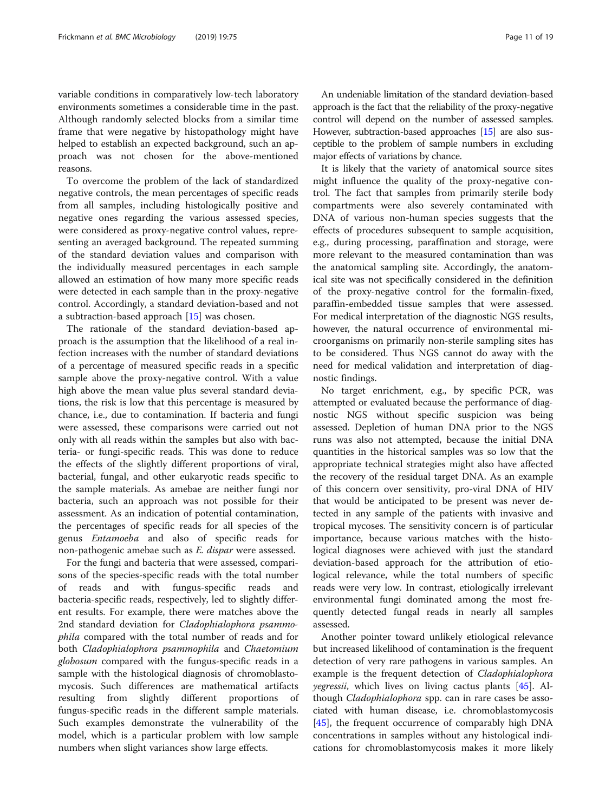variable conditions in comparatively low-tech laboratory environments sometimes a considerable time in the past. Although randomly selected blocks from a similar time frame that were negative by histopathology might have helped to establish an expected background, such an approach was not chosen for the above-mentioned reasons.

To overcome the problem of the lack of standardized negative controls, the mean percentages of specific reads from all samples, including histologically positive and negative ones regarding the various assessed species, were considered as proxy-negative control values, representing an averaged background. The repeated summing of the standard deviation values and comparison with the individually measured percentages in each sample allowed an estimation of how many more specific reads were detected in each sample than in the proxy-negative control. Accordingly, a standard deviation-based and not a subtraction-based approach [[15](#page-16-0)] was chosen.

The rationale of the standard deviation-based approach is the assumption that the likelihood of a real infection increases with the number of standard deviations of a percentage of measured specific reads in a specific sample above the proxy-negative control. With a value high above the mean value plus several standard deviations, the risk is low that this percentage is measured by chance, i.e., due to contamination. If bacteria and fungi were assessed, these comparisons were carried out not only with all reads within the samples but also with bacteria- or fungi-specific reads. This was done to reduce the effects of the slightly different proportions of viral, bacterial, fungal, and other eukaryotic reads specific to the sample materials. As amebae are neither fungi nor bacteria, such an approach was not possible for their assessment. As an indication of potential contamination, the percentages of specific reads for all species of the genus Entamoeba and also of specific reads for non-pathogenic amebae such as E. dispar were assessed.

For the fungi and bacteria that were assessed, comparisons of the species-specific reads with the total number of reads and with fungus-specific reads and bacteria-specific reads, respectively, led to slightly different results. For example, there were matches above the 2nd standard deviation for Cladophialophora psammophila compared with the total number of reads and for both Cladophialophora psammophila and Chaetomium globosum compared with the fungus-specific reads in a sample with the histological diagnosis of chromoblastomycosis. Such differences are mathematical artifacts resulting from slightly different proportions of fungus-specific reads in the different sample materials. Such examples demonstrate the vulnerability of the model, which is a particular problem with low sample numbers when slight variances show large effects.

An undeniable limitation of the standard deviation-based approach is the fact that the reliability of the proxy-negative control will depend on the number of assessed samples. However, subtraction-based approaches [\[15\]](#page-16-0) are also susceptible to the problem of sample numbers in excluding major effects of variations by chance.

It is likely that the variety of anatomical source sites might influence the quality of the proxy-negative control. The fact that samples from primarily sterile body compartments were also severely contaminated with DNA of various non-human species suggests that the effects of procedures subsequent to sample acquisition, e.g., during processing, paraffination and storage, were more relevant to the measured contamination than was the anatomical sampling site. Accordingly, the anatomical site was not specifically considered in the definition of the proxy-negative control for the formalin-fixed, paraffin-embedded tissue samples that were assessed. For medical interpretation of the diagnostic NGS results, however, the natural occurrence of environmental microorganisms on primarily non-sterile sampling sites has to be considered. Thus NGS cannot do away with the need for medical validation and interpretation of diagnostic findings.

No target enrichment, e.g., by specific PCR, was attempted or evaluated because the performance of diagnostic NGS without specific suspicion was being assessed. Depletion of human DNA prior to the NGS runs was also not attempted, because the initial DNA quantities in the historical samples was so low that the appropriate technical strategies might also have affected the recovery of the residual target DNA. As an example of this concern over sensitivity, pro-viral DNA of HIV that would be anticipated to be present was never detected in any sample of the patients with invasive and tropical mycoses. The sensitivity concern is of particular importance, because various matches with the histological diagnoses were achieved with just the standard deviation-based approach for the attribution of etiological relevance, while the total numbers of specific reads were very low. In contrast, etiologically irrelevant environmental fungi dominated among the most frequently detected fungal reads in nearly all samples assessed.

Another pointer toward unlikely etiological relevance but increased likelihood of contamination is the frequent detection of very rare pathogens in various samples. An example is the frequent detection of Cladophialophora yegressii, which lives on living cactus plants [\[45\]](#page-17-0). Although Cladophialophora spp. can in rare cases be associated with human disease, i.e. chromoblastomycosis [[45\]](#page-17-0), the frequent occurrence of comparably high DNA concentrations in samples without any histological indications for chromoblastomycosis makes it more likely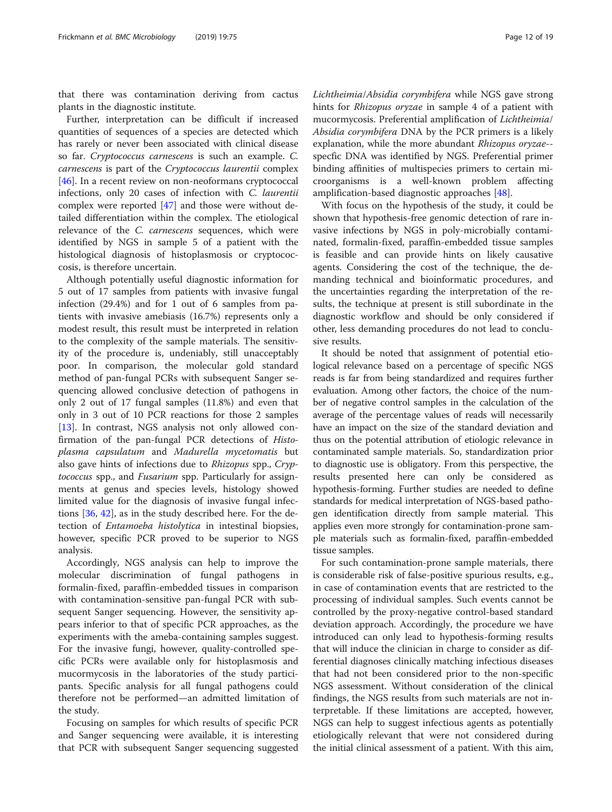that there was contamination deriving from cactus plants in the diagnostic institute.

Further, interpretation can be difficult if increased quantities of sequences of a species are detected which has rarely or never been associated with clinical disease so far. Cryptococcus carnescens is such an example. C. carnescens is part of the Cryptococcus laurentii complex [[46\]](#page-17-0). In a recent review on non-neoformans cryptococcal infections, only 20 cases of infection with C. laurentii complex were reported [\[47](#page-17-0)] and those were without detailed differentiation within the complex. The etiological relevance of the C. carnescens sequences, which were identified by NGS in sample 5 of a patient with the histological diagnosis of histoplasmosis or cryptococcosis, is therefore uncertain.

Although potentially useful diagnostic information for 5 out of 17 samples from patients with invasive fungal infection (29.4%) and for 1 out of 6 samples from patients with invasive amebiasis (16.7%) represents only a modest result, this result must be interpreted in relation to the complexity of the sample materials. The sensitivity of the procedure is, undeniably, still unacceptably poor. In comparison, the molecular gold standard method of pan-fungal PCRs with subsequent Sanger sequencing allowed conclusive detection of pathogens in only 2 out of 17 fungal samples (11.8%) and even that only in 3 out of 10 PCR reactions for those 2 samples [[13\]](#page-16-0). In contrast, NGS analysis not only allowed confirmation of the pan-fungal PCR detections of Histoplasma capsulatum and Madurella mycetomatis but also gave hints of infections due to Rhizopus spp., Cryptococcus spp., and Fusarium spp. Particularly for assignments at genus and species levels, histology showed limited value for the diagnosis of invasive fungal infections [[36,](#page-17-0) [42\]](#page-17-0), as in the study described here. For the detection of Entamoeba histolytica in intestinal biopsies, however, specific PCR proved to be superior to NGS analysis.

Accordingly, NGS analysis can help to improve the molecular discrimination of fungal pathogens in formalin-fixed, paraffin-embedded tissues in comparison with contamination-sensitive pan-fungal PCR with subsequent Sanger sequencing. However, the sensitivity appears inferior to that of specific PCR approaches, as the experiments with the ameba-containing samples suggest. For the invasive fungi, however, quality-controlled specific PCRs were available only for histoplasmosis and mucormycosis in the laboratories of the study participants. Specific analysis for all fungal pathogens could therefore not be performed—an admitted limitation of the study.

Focusing on samples for which results of specific PCR and Sanger sequencing were available, it is interesting that PCR with subsequent Sanger sequencing suggested Lichtheimia/Absidia corymbifera while NGS gave strong hints for Rhizopus oryzae in sample 4 of a patient with mucormycosis. Preferential amplification of Lichtheimia/ Absidia corymbifera DNA by the PCR primers is a likely explanation, while the more abundant Rhizopus oryzae-specfic DNA was identified by NGS. Preferential primer binding affinities of multispecies primers to certain microorganisms is a well-known problem affecting amplification-based diagnostic approaches [[48\]](#page-17-0).

With focus on the hypothesis of the study, it could be shown that hypothesis-free genomic detection of rare invasive infections by NGS in poly-microbially contaminated, formalin-fixed, paraffin-embedded tissue samples is feasible and can provide hints on likely causative agents. Considering the cost of the technique, the demanding technical and bioinformatic procedures, and the uncertainties regarding the interpretation of the results, the technique at present is still subordinate in the diagnostic workflow and should be only considered if other, less demanding procedures do not lead to conclusive results.

It should be noted that assignment of potential etiological relevance based on a percentage of specific NGS reads is far from being standardized and requires further evaluation. Among other factors, the choice of the number of negative control samples in the calculation of the average of the percentage values of reads will necessarily have an impact on the size of the standard deviation and thus on the potential attribution of etiologic relevance in contaminated sample materials. So, standardization prior to diagnostic use is obligatory. From this perspective, the results presented here can only be considered as hypothesis-forming. Further studies are needed to define standards for medical interpretation of NGS-based pathogen identification directly from sample material. This applies even more strongly for contamination-prone sample materials such as formalin-fixed, paraffin-embedded tissue samples.

For such contamination-prone sample materials, there is considerable risk of false-positive spurious results, e.g., in case of contamination events that are restricted to the processing of individual samples. Such events cannot be controlled by the proxy-negative control-based standard deviation approach. Accordingly, the procedure we have introduced can only lead to hypothesis-forming results that will induce the clinician in charge to consider as differential diagnoses clinically matching infectious diseases that had not been considered prior to the non-specific NGS assessment. Without consideration of the clinical findings, the NGS results from such materials are not interpretable. If these limitations are accepted, however, NGS can help to suggest infectious agents as potentially etiologically relevant that were not considered during the initial clinical assessment of a patient. With this aim,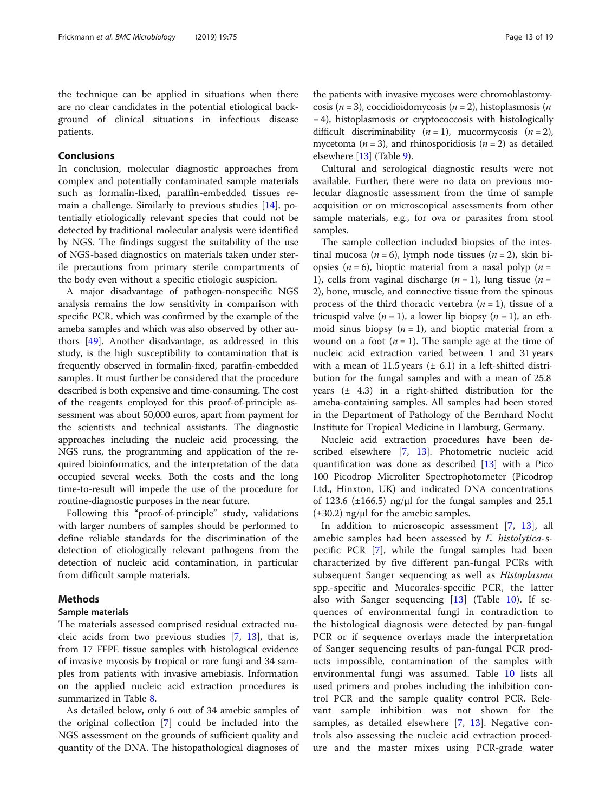# Conclusions

patients.

In conclusion, molecular diagnostic approaches from complex and potentially contaminated sample materials such as formalin-fixed, paraffin-embedded tissues remain a challenge. Similarly to previous studies [[14\]](#page-16-0), potentially etiologically relevant species that could not be detected by traditional molecular analysis were identified by NGS. The findings suggest the suitability of the use of NGS-based diagnostics on materials taken under sterile precautions from primary sterile compartments of the body even without a specific etiologic suspicion.

A major disadvantage of pathogen-nonspecific NGS analysis remains the low sensitivity in comparison with specific PCR, which was confirmed by the example of the ameba samples and which was also observed by other authors [\[49\]](#page-17-0). Another disadvantage, as addressed in this study, is the high susceptibility to contamination that is frequently observed in formalin-fixed, paraffin-embedded samples. It must further be considered that the procedure described is both expensive and time-consuming. The cost of the reagents employed for this proof-of-principle assessment was about 50,000 euros, apart from payment for the scientists and technical assistants. The diagnostic approaches including the nucleic acid processing, the NGS runs, the programming and application of the required bioinformatics, and the interpretation of the data occupied several weeks. Both the costs and the long time-to-result will impede the use of the procedure for routine-diagnostic purposes in the near future.

Following this "proof-of-principle" study, validations with larger numbers of samples should be performed to define reliable standards for the discrimination of the detection of etiologically relevant pathogens from the detection of nucleic acid contamination, in particular from difficult sample materials.

# Methods

## Sample materials

The materials assessed comprised residual extracted nucleic acids from two previous studies [[7,](#page-16-0) [13](#page-16-0)], that is, from 17 FFPE tissue samples with histological evidence of invasive mycosis by tropical or rare fungi and 34 samples from patients with invasive amebiasis. Information on the applied nucleic acid extraction procedures is summarized in Table [8](#page-13-0).

As detailed below, only 6 out of 34 amebic samples of the original collection [\[7](#page-16-0)] could be included into the NGS assessment on the grounds of sufficient quality and quantity of the DNA. The histopathological diagnoses of

the patients with invasive mycoses were chromoblastomycosis ( $n = 3$ ), coccidioidomycosis ( $n = 2$ ), histoplasmosis (*n* = 4), histoplasmosis or cryptococcosis with histologically difficult discriminability  $(n = 1)$ , mucormycosis  $(n = 2)$ , mycetoma ( $n = 3$ ), and rhinosporidiosis ( $n = 2$ ) as detailed elsewhere [\[13](#page-16-0)] (Table [9](#page-14-0)).

Cultural and serological diagnostic results were not available. Further, there were no data on previous molecular diagnostic assessment from the time of sample acquisition or on microscopical assessments from other sample materials, e.g., for ova or parasites from stool samples.

The sample collection included biopsies of the intestinal mucosa ( $n = 6$ ), lymph node tissues ( $n = 2$ ), skin biopsies ( $n = 6$ ), bioptic material from a nasal polyp ( $n =$ 1), cells from vaginal discharge  $(n = 1)$ , lung tissue  $(n = 1)$ 2), bone, muscle, and connective tissue from the spinous process of the third thoracic vertebra  $(n = 1)$ , tissue of a tricuspid valve  $(n = 1)$ , a lower lip biopsy  $(n = 1)$ , an ethmoid sinus biopsy  $(n = 1)$ , and bioptic material from a wound on a foot  $(n = 1)$ . The sample age at the time of nucleic acid extraction varied between 1 and 31 years with a mean of 11.5 years  $(\pm 6.1)$  in a left-shifted distribution for the fungal samples and with a mean of 25.8 years (± 4.3) in a right-shifted distribution for the ameba-containing samples. All samples had been stored in the Department of Pathology of the Bernhard Nocht Institute for Tropical Medicine in Hamburg, Germany.

Nucleic acid extraction procedures have been described elsewhere [\[7](#page-16-0), [13](#page-16-0)]. Photometric nucleic acid quantification was done as described [\[13\]](#page-16-0) with a Pico 100 Picodrop Microliter Spectrophotometer (Picodrop Ltd., Hinxton, UK) and indicated DNA concentrations of 123.6 ( $\pm$ 166.5) ng/ $\mu$ l for the fungal samples and 25.1  $(\pm 30.2)$  ng/µl for the amebic samples.

In addition to microscopic assessment [\[7](#page-16-0), [13](#page-16-0)], all amebic samples had been assessed by E. histolytica-specific PCR [[7](#page-16-0)], while the fungal samples had been characterized by five different pan-fungal PCRs with subsequent Sanger sequencing as well as Histoplasma spp.-specific and Mucorales-specific PCR, the latter also with Sanger sequencing  $[13]$  $[13]$  (Table [10\)](#page-15-0). If sequences of environmental fungi in contradiction to the histological diagnosis were detected by pan-fungal PCR or if sequence overlays made the interpretation of Sanger sequencing results of pan-fungal PCR products impossible, contamination of the samples with environmental fungi was assumed. Table [10](#page-15-0) lists all used primers and probes including the inhibition control PCR and the sample quality control PCR. Relevant sample inhibition was not shown for the samples, as detailed elsewhere [\[7](#page-16-0), [13\]](#page-16-0). Negative controls also assessing the nucleic acid extraction procedure and the master mixes using PCR-grade water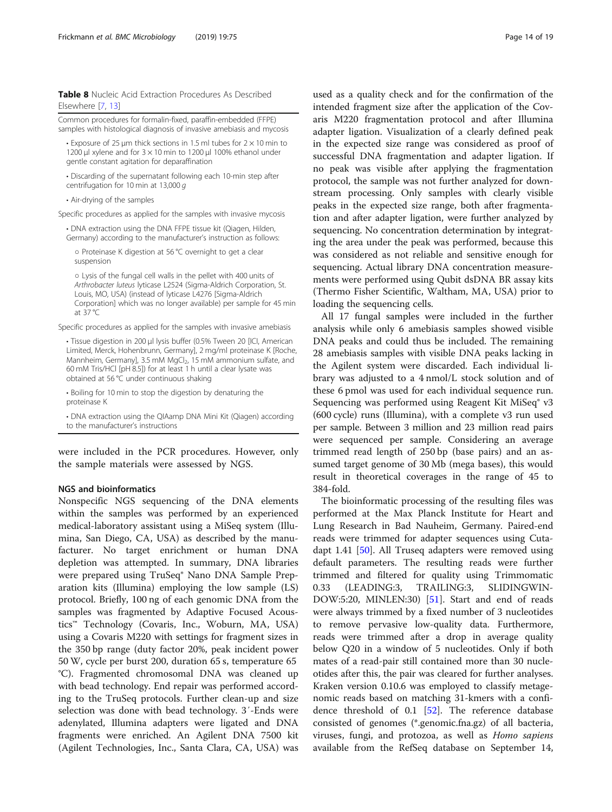<span id="page-13-0"></span>**Table 8** Nucleic Acid Extraction Procedures As Described Elsewhere [[7](#page-16-0), [13\]](#page-16-0)

Common procedures for formalin-fixed, paraffin-embedded (FFPE) samples with histological diagnosis of invasive amebiasis and mycosis

• Exposure of 25  $\mu$ m thick sections in 1.5 ml tubes for 2  $\times$  10 min to 1200 μl xylene and for  $3 \times 10$  min to 1200 μl 100% ethanol under gentle constant agitation for deparaffination

• Discarding of the supernatant following each 10-min step after centrifugation for 10 min at 13,000 g

• Air-drying of the samples

Specific procedures as applied for the samples with invasive mycosis

• DNA extraction using the DNA FFPE tissue kit (Qiagen, Hilden, Germany) according to the manufacturer's instruction as follows:

○ Proteinase K digestion at 56 °C overnight to get a clear suspension

○ Lysis of the fungal cell walls in the pellet with 400 units of Arthrobacter luteus lyticase L2524 (Sigma-Aldrich Corporation, St. Louis, MO, USA) (instead of lyticase L4276 [Sigma-Aldrich Corporation] which was no longer available) per sample for 45 min at 37 °C

Specific procedures as applied for the samples with invasive amebiasis

• Tissue digestion in 200 μl lysis buffer (0.5% Tween 20 [ICI, American Limited, Merck, Hohenbrunn, Germany], 2 mg/ml proteinase K [Roche, Mannheim, Germany], 3.5 mM  $MqCl<sub>2</sub>$ , 15 mM ammonium sulfate, and 60 mM Tris/HCl [pH 8.5]) for at least 1 h until a clear lysate was obtained at 56 °C under continuous shaking

• Boiling for 10 min to stop the digestion by denaturing the proteinase K

• DNA extraction using the QIAamp DNA Mini Kit (Qiagen) according to the manufacturer's instructions

were included in the PCR procedures. However, only the sample materials were assessed by NGS.

# NGS and bioinformatics

Nonspecific NGS sequencing of the DNA elements within the samples was performed by an experienced medical-laboratory assistant using a MiSeq system (Illumina, San Diego, CA, USA) as described by the manufacturer. No target enrichment or human DNA depletion was attempted. In summary, DNA libraries were prepared using TruSeq® Nano DNA Sample Preparation kits (Illumina) employing the low sample (LS) protocol. Briefly, 100 ng of each genomic DNA from the samples was fragmented by Adaptive Focused Acoustics™ Technology (Covaris, Inc., Woburn, MA, USA) using a Covaris M220 with settings for fragment sizes in the 350 bp range (duty factor 20%, peak incident power 50 W, cycle per burst 200, duration 65 s, temperature 65 °C). Fragmented chromosomal DNA was cleaned up with bead technology. End repair was performed according to the TruSeq protocols. Further clean-up and size selection was done with bead technology. 3′-Ends were adenylated, Illumina adapters were ligated and DNA fragments were enriched. An Agilent DNA 7500 kit (Agilent Technologies, Inc., Santa Clara, CA, USA) was

used as a quality check and for the confirmation of the intended fragment size after the application of the Covaris M220 fragmentation protocol and after Illumina adapter ligation. Visualization of a clearly defined peak in the expected size range was considered as proof of successful DNA fragmentation and adapter ligation. If no peak was visible after applying the fragmentation protocol, the sample was not further analyzed for downstream processing. Only samples with clearly visible peaks in the expected size range, both after fragmentation and after adapter ligation, were further analyzed by sequencing. No concentration determination by integrating the area under the peak was performed, because this was considered as not reliable and sensitive enough for sequencing. Actual library DNA concentration measurements were performed using Qubit dsDNA BR assay kits (Thermo Fisher Scientific, Waltham, MA, USA) prior to loading the sequencing cells.

All 17 fungal samples were included in the further analysis while only 6 amebiasis samples showed visible DNA peaks and could thus be included. The remaining 28 amebiasis samples with visible DNA peaks lacking in the Agilent system were discarded. Each individual library was adjusted to a 4 nmol/L stock solution and of these 6 pmol was used for each individual sequence run. Sequencing was performed using Reagent Kit MiSeq<sup>®</sup> v3 (600 cycle) runs (Illumina), with a complete v3 run used per sample. Between 3 million and 23 million read pairs were sequenced per sample. Considering an average trimmed read length of 250 bp (base pairs) and an assumed target genome of 30 Mb (mega bases), this would result in theoretical coverages in the range of 45 to 384-fold.

The bioinformatic processing of the resulting files was performed at the Max Planck Institute for Heart and Lung Research in Bad Nauheim, Germany. Paired-end reads were trimmed for adapter sequences using Cuta-dapt 1.41 [[50\]](#page-17-0). All Truseq adapters were removed using default parameters. The resulting reads were further trimmed and filtered for quality using Trimmomatic 0.33 (LEADING:3, TRAILING:3, SLIDINGWIN-DOW:5:20, MINLEN:30) [[51\]](#page-17-0). Start and end of reads were always trimmed by a fixed number of 3 nucleotides to remove pervasive low-quality data. Furthermore, reads were trimmed after a drop in average quality below Q20 in a window of 5 nucleotides. Only if both mates of a read-pair still contained more than 30 nucleotides after this, the pair was cleared for further analyses. Kraken version 0.10.6 was employed to classify metagenomic reads based on matching 31-kmers with a confidence threshold of  $0.1$  [[52](#page-17-0)]. The reference database consisted of genomes (\*.genomic.fna.gz) of all bacteria, viruses, fungi, and protozoa, as well as Homo sapiens available from the RefSeq database on September 14,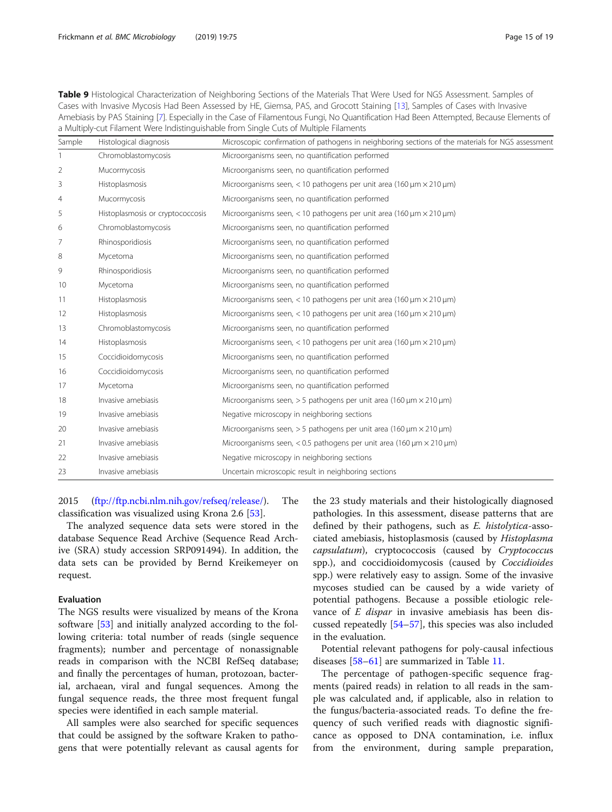<span id="page-14-0"></span>

| Table 9 Histological Characterization of Neighboring Sections of the Materials That Were Used for NGS Assessment. Samples of          |
|---------------------------------------------------------------------------------------------------------------------------------------|
| Cases with Invasive Mycosis Had Been Assessed by HE, Giemsa, PAS, and Grocott Staining [13], Samples of Cases with Invasive           |
| Amebiasis by PAS Staining [7]. Especially in the Case of Filamentous Fungi, No Quantification Had Been Attempted, Because Elements of |
| a Multiply-cut Filament Were Indistinguishable from Single Cuts of Multiple Filaments                                                 |

| Sample         | Histological diagnosis           | Microscopic confirmation of pathogens in neighboring sections of the materials for NGS assessment |
|----------------|----------------------------------|---------------------------------------------------------------------------------------------------|
|                | Chromoblastomycosis              | Microorganisms seen, no quantification performed                                                  |
| $\overline{2}$ | Mucormycosis                     | Microorganisms seen, no quantification performed                                                  |
| 3              | Histoplasmosis                   | Microorganisms seen, < 10 pathogens per unit area (160 $\mu$ m $\times$ 210 $\mu$ m)              |
| $\overline{4}$ | Mucormycosis                     | Microorganisms seen, no quantification performed                                                  |
| 5              | Histoplasmosis or cryptococcosis | Microorganisms seen, < 10 pathogens per unit area (160 $\mu$ m $\times$ 210 $\mu$ m)              |
| 6              | Chromoblastomycosis              | Microorganisms seen, no quantification performed                                                  |
| 7              | Rhinosporidiosis                 | Microorganisms seen, no quantification performed                                                  |
| 8              | Mycetoma                         | Microorganisms seen, no quantification performed                                                  |
| 9              | Rhinosporidiosis                 | Microorganisms seen, no quantification performed                                                  |
| 10             | Mycetoma                         | Microorganisms seen, no quantification performed                                                  |
| 11             | Histoplasmosis                   | Microorganisms seen, < 10 pathogens per unit area (160 $\mu$ m $\times$ 210 $\mu$ m)              |
| 12             | Histoplasmosis                   | Microorganisms seen, < 10 pathogens per unit area (160 $\mu$ m $\times$ 210 $\mu$ m)              |
| 13             | Chromoblastomycosis              | Microorganisms seen, no quantification performed                                                  |
| 14             | Histoplasmosis                   | Microorganisms seen, < 10 pathogens per unit area (160 $\mu$ m $\times$ 210 $\mu$ m)              |
| 15             | Coccidioidomycosis               | Microorganisms seen, no quantification performed                                                  |
| 16             | Coccidioidomycosis               | Microorganisms seen, no quantification performed                                                  |
| 17             | Mycetoma                         | Microorganisms seen, no quantification performed                                                  |
| 18             | Invasive amebiasis               | Microorganisms seen, $>$ 5 pathogens per unit area (160 µm $\times$ 210 µm)                       |
| 19             | Invasive amebiasis               | Negative microscopy in neighboring sections                                                       |
| 20             | Invasive amebiasis               | Microorganisms seen, $>$ 5 pathogens per unit area (160 µm $\times$ 210 µm)                       |
| 21             | Invasive amebiasis               | Microorganisms seen, < 0.5 pathogens per unit area (160 $\mu$ m $\times$ 210 $\mu$ m)             |
| 22             | Invasive amebiasis               | Negative microscopy in neighboring sections                                                       |
| 23             | Invasive amebiasis               | Uncertain microscopic result in neighboring sections                                              |

2015 [\(ftp://ftp.ncbi.nlm.nih.gov/refseq/release/](ftp://ftp.ncbi.nlm.nih.gov/refseq/release/)). The classification was visualized using Krona 2.6 [\[53\]](#page-17-0).

The analyzed sequence data sets were stored in the database Sequence Read Archive (Sequence Read Archive (SRA) study accession SRP091494). In addition, the data sets can be provided by Bernd Kreikemeyer on request.

# Evaluation

The NGS results were visualized by means of the Krona software [[53](#page-17-0)] and initially analyzed according to the following criteria: total number of reads (single sequence fragments); number and percentage of nonassignable reads in comparison with the NCBI RefSeq database; and finally the percentages of human, protozoan, bacterial, archaean, viral and fungal sequences. Among the fungal sequence reads, the three most frequent fungal species were identified in each sample material.

All samples were also searched for specific sequences that could be assigned by the software Kraken to pathogens that were potentially relevant as causal agents for

the 23 study materials and their histologically diagnosed pathologies. In this assessment, disease patterns that are defined by their pathogens, such as E. histolytica-associated amebiasis, histoplasmosis (caused by Histoplasma capsulatum), cryptococcosis (caused by Cryptococcus spp.), and coccidioidomycosis (caused by Coccidioides spp.) were relatively easy to assign. Some of the invasive mycoses studied can be caused by a wide variety of potential pathogens. Because a possible etiologic relevance of *E* dispar in invasive amebiasis has been discussed repeatedly [[54](#page-17-0)–[57](#page-17-0)], this species was also included in the evaluation.

Potential relevant pathogens for poly-causal infectious diseases [\[58](#page-17-0)–[61\]](#page-18-0) are summarized in Table [11](#page-15-0).

The percentage of pathogen-specific sequence fragments (paired reads) in relation to all reads in the sample was calculated and, if applicable, also in relation to the fungus/bacteria-associated reads. To define the frequency of such verified reads with diagnostic significance as opposed to DNA contamination, i.e. influx from the environment, during sample preparation,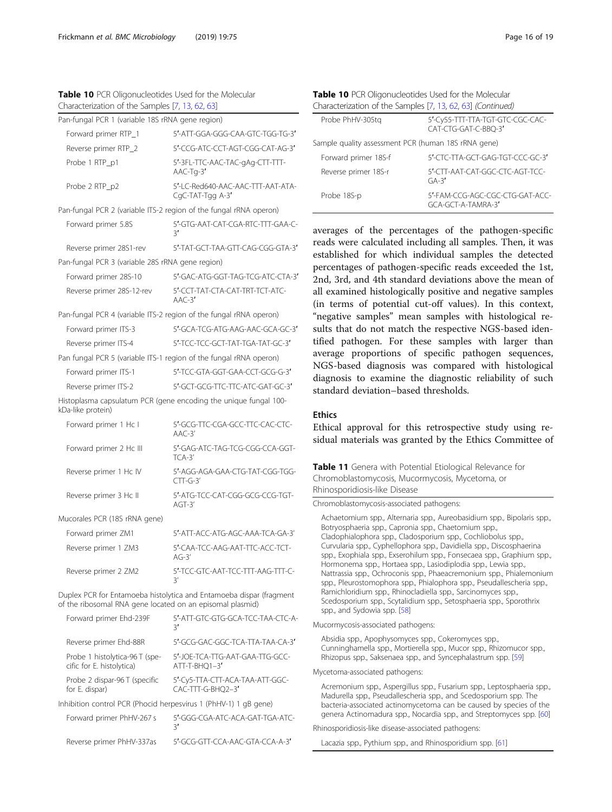| Pan-fungal PCR 1 (variable 18S rRNA gene region)                 |                                                                     |
|------------------------------------------------------------------|---------------------------------------------------------------------|
| Forward primer RTP_1                                             | 5'-ATT-GGA-GGG-CAA-GTC-TGG-TG-3'                                    |
| Reverse primer RTP_2                                             | 5'-CCG-ATC-CCT-AGT-CGG-CAT-AG-3'                                    |
| Probe 1 RTP_p1                                                   | 5'-3FL-TTC-AAC-TAC-gAg-CTT-TTT-<br>$AAC-Tq-3'$                      |
| Probe 2 RTP_p2                                                   | 5'-LC-Red640-AAC-AAC-TTT-AAT-ATA-<br>CgC-TAT-Tgg A-3'               |
|                                                                  | Pan-fungal PCR 2 (variable ITS-2 region of the fungal rRNA operon)  |
| Forward primer 5.8S                                              | 5'-GTG-AAT-CAT-CGA-RTC-TTT-GAA-C-<br>٦'                             |
| Reverse primer 28S1-rev                                          | 5'-TAT-GCT-TAA-GTT-CAG-CGG-GTA-3'                                   |
| Pan-fungal PCR 3 (variable 28S rRNA gene region)                 |                                                                     |
| Forward primer 28S-10                                            | 5'-GAC-ATG-GGT-TAG-TCG-ATC-CTA-3'                                   |
| Reverse primer 28S-12-rev                                        | 5'-CCT-TAT-CTA-CAT-TRT-TCT-ATC-<br>$AAC-3'$                         |
|                                                                  | Pan-fungal PCR 4 (variable ITS-2 region of the fungal rRNA operon)  |
| Forward primer ITS-3                                             | 5'-GCA-TCG-ATG-AAG-AAC-GCA-GC-3'                                    |
| Reverse primer ITS-4                                             | 5'-TCC-TCC-GCT-TAT-TGA-TAT-GC-3'                                    |
|                                                                  | Pan fungal PCR 5 (variable ITS-1 region of the fungal rRNA operon)  |
| Forward primer ITS-1                                             | 5'-TCC-GTA-GGT-GAA-CCT-GCG-G-3'                                     |
| Reverse primer ITS-2                                             | 5'-GCT-GCG-TTC-TTC-ATC-GAT-GC-3'                                    |
| kDa-like protein)                                                | Histoplasma capsulatum PCR (gene encoding the unique fungal 100-    |
| Forward primer 1 Hc I                                            | 5'-GCG-TTC-CGA-GCC-TTC-CAC-CTC-<br>$AAC-3'$                         |
| Forward primer 2 Hc III                                          | 5'-GAG-ATC-TAG-TCG-CGG-CCA-GGT-<br>$TCA-3'$                         |
| Reverse primer 1 Hc IV                                           | 5'-AGG-AGA-GAA-CTG-TAT-CGG-TGG-<br>$CTT-G-3'$                       |
| Reverse primer 3 Hc II                                           | 5'-ATG-TCC-CAT-CGG-GCG-CCG-TGT-<br>AGT-3'                           |
| Mucorales PCR (18S rRNA gene)                                    |                                                                     |
| Forward primer ZM1                                               | 5'-ATT-ACC-ATG-AGC-AAA-TCA-GA-3'                                    |
| Reverse primer 1 ZM3                                             | 5'-CAA-TCC-AAG-AAT-TTC-ACC-TCT-<br>AG-3'                            |
| Reverse primer 2 ZM2                                             | 5'-TCC-GTC-AAT-TCC-TTT-AAG-TTT-C-<br>3′                             |
| of the ribosomal RNA gene located on an episomal plasmid)        | Duplex PCR for Entamoeba histolytica and Entamoeba dispar (fragment |
| Forward primer Ehd-239F                                          | 5'-ATT-GTC-GTG-GCA-TCC-TAA-CTC-A-<br>3'                             |
| Reverse primer Ehd-88R                                           | 5'-GCG-GAC-GGC-TCA-TTA-TAA-CA-3'                                    |
| Probe 1 histolytica-96 T (spe-<br>cific for E. histolytica)      | 5'-JOE-TCA-TTG-AAT-GAA-TTG-GCC-<br>$ATT-T-BHQ1-3'$                  |
| Probe 2 dispar-96 T (specific<br>for E. dispar)                  | 5'-Cy5-TTA-CTT-ACA-TAA-ATT-GGC-<br>CAC-TTT-G-BHQ2-3'                |
| Inhibition control PCR (Phocid herpesvirus 1 (PhHV-1) 1 gB gene) |                                                                     |
| Forward primer PhHV-267 s                                        | 5'-GGG-CGA-ATC-ACA-GAT-TGA-ATC-<br>31                               |
| Reverse primer PhHV-337as                                        | 5'-GCG-GTT-CCA-AAC-GTA-CCA-A-3'                                     |

<span id="page-15-0"></span>

| Table 10 PCR Oligonucleotides Used for the Molecular |  |
|------------------------------------------------------|--|
| Characterization of the Samples [7, 13, 62, 63]      |  |

Table 10 PCR Oligonucleotides Used for the Molecular Characterization of the Samples [[7,](#page-16-0) [13,](#page-16-0) [62,](#page-16-0) [63\]](#page-16-0) (Continued)

| Probe PhHV-305tg                                    | 5'-Cy55-TTT-TTA-TGT-GTC-CGC-CAC-<br>CAT-CTG-GAT-C-BBQ-3' |
|-----------------------------------------------------|----------------------------------------------------------|
| Sample quality assessment PCR (human 18S rRNA gene) |                                                          |
| Forward primer 18S-f                                | 5'-CTC-TTA-GCT-GAG-TGT-CCC-GC-3'                         |
| Reverse primer 18S-r                                | 5'-CTT-AAT-CAT-GGC-CTC-AGT-TCC-<br>$GA-3'$               |
| Probe 18S-p                                         | 5'-FAM-CCG-AGC-CGC-CTG-GAT-ACC-<br>GCA-GCT-A-TAMRA-3'    |

averages of the percentages of the pathogen-specific reads were calculated including all samples. Then, it was established for which individual samples the detected percentages of pathogen-specific reads exceeded the 1st, 2nd, 3rd, and 4th standard deviations above the mean of all examined histologically positive and negative samples (in terms of potential cut-off values). In this context, "negative samples" mean samples with histological results that do not match the respective NGS-based identified pathogen. For these samples with larger than average proportions of specific pathogen sequences, NGS-based diagnosis was compared with histological diagnosis to examine the diagnostic reliability of such standard deviation–based thresholds.

# Ethics

Ethical approval for this retrospective study using residual materials was granted by the Ethics Committee of

Table 11 Genera with Potential Etiological Relevance for Chromoblastomycosis, Mucormycosis, Mycetoma, or Rhinosporidiosis-like Disease

Chromoblastomycosis-associated pathogens:

Achaetomium spp., Alternaria spp., Aureobasidium spp., Bipolaris spp., Botryosphaeria spp., Capronia spp., Chaetomium spp., Cladophialophora spp., Cladosporium spp., Cochliobolus spp., Curvularia spp., Cyphellophora spp., Davidiella spp., Discosphaerina spp., Exophiala spp., Exserohilum spp., Fonsecaea spp., Graphium spp., Hormonema spp., Hortaea spp., Lasiodiplodia spp., Lewia spp., Nattrassia spp., Ochroconis spp., Phaeacremonium spp., Phialemonium spp., Pleurostomophora spp., Phialophora spp., Pseudallescheria spp., Ramichloridium spp., Rhinocladiella spp., Sarcinomyces spp., Scedosporium spp., Scytalidium spp., Setosphaeria spp., Sporothrix spp., and Sydowia spp. [\[58\]](#page-17-0)

Mucormycosis-associated pathogens:

Absidia spp., Apophysomyces spp., Cokeromyces spp., Cunninghamella spp., Mortierella spp., Mucor spp., Rhizomucor spp., Rhizopus spp., Saksenaea spp., and Syncephalastrum spp. [\[59](#page-17-0)]

Mycetoma-associated pathogens:

Acremonium spp., Aspergillus spp., Fusarium spp., Leptosphaeria spp., Madurella spp., Pseudallescheria spp., and Scedosporium spp. The bacteria-associated actinomycetoma can be caused by species of the genera Actinomadura spp., Nocardia spp., and Streptomyces spp. [\[60\]](#page-18-0)

Rhinosporidiosis-like disease-associated pathogens:

Lacazia spp., Pythium spp., and Rhinosporidium spp. [\[61](#page-18-0)]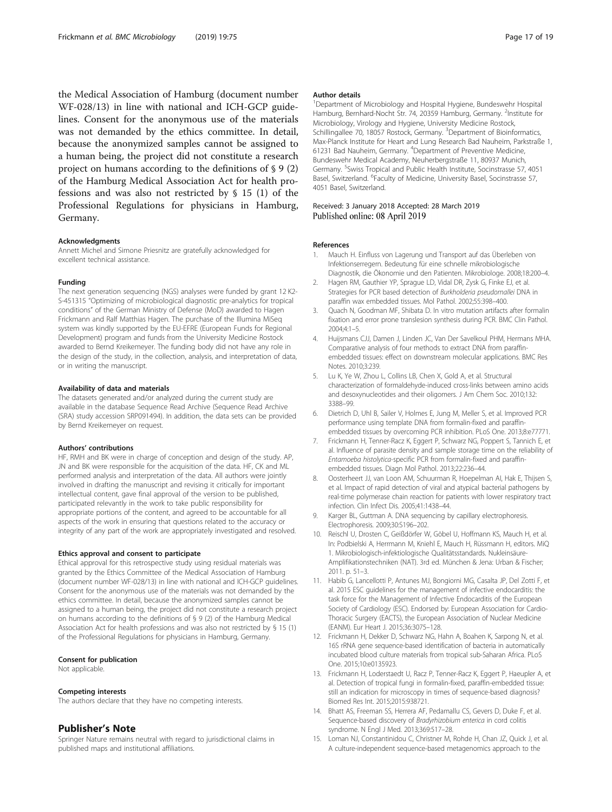<span id="page-16-0"></span>the Medical Association of Hamburg (document number WF-028/13) in line with national and ICH-GCP guidelines. Consent for the anonymous use of the materials was not demanded by the ethics committee. In detail, because the anonymized samples cannot be assigned to a human being, the project did not constitute a research project on humans according to the definitions of § 9 (2) of the Hamburg Medical Association Act for health professions and was also not restricted by § 15 (1) of the Professional Regulations for physicians in Hamburg, Germany.

#### Acknowledgments

Annett Michel and Simone Priesnitz are gratefully acknowledged for excellent technical assistance.

#### Funding

The next generation sequencing (NGS) analyses were funded by grant 12 K2- S-451315 "Optimizing of microbiological diagnostic pre-analytics for tropical conditions" of the German Ministry of Defense (MoD) awarded to Hagen Frickmann and Ralf Matthias Hagen. The purchase of the Illumina MiSeq system was kindly supported by the EU-EFRE (European Funds for Regional Development) program and funds from the University Medicine Rostock awarded to Bernd Kreikemeyer. The funding body did not have any role in the design of the study, in the collection, analysis, and interpretation of data, or in writing the manuscript.

#### Availability of data and materials

The datasets generated and/or analyzed during the current study are available in the database Sequence Read Archive (Sequence Read Archive (SRA) study accession SRP091494). In addition, the data sets can be provided by Bernd Kreikemeyer on request.

#### Authors' contributions

HF, RMH and BK were in charge of conception and design of the study. AP, JN and BK were responsible for the acquisition of the data. HF, CK and ML performed analysis and interpretation of the data. All authors were jointly involved in drafting the manuscript and revising it critically for important intellectual content, gave final approval of the version to be published, participated relevantly in the work to take public responsibility for appropriate portions of the content, and agreed to be accountable for all aspects of the work in ensuring that questions related to the accuracy or integrity of any part of the work are appropriately investigated and resolved.

#### Ethics approval and consent to participate

Ethical approval for this retrospective study using residual materials was granted by the Ethics Committee of the Medical Association of Hamburg (document number WF-028/13) in line with national and ICH-GCP guidelines. Consent for the anonymous use of the materials was not demanded by the ethics committee. In detail, because the anonymized samples cannot be assigned to a human being, the project did not constitute a research project on humans according to the definitions of § 9 (2) of the Hamburg Medical Association Act for health professions and was also not restricted by § 15 (1) of the Professional Regulations for physicians in Hamburg, Germany.

### Consent for publication

Not applicable.

#### Competing interests

The authors declare that they have no competing interests.

#### Publisher's Note

Springer Nature remains neutral with regard to jurisdictional claims in published maps and institutional affiliations.

#### Author details

<sup>1</sup>Department of Microbiology and Hospital Hygiene, Bundeswehr Hospital Hamburg, Bernhard-Nocht Str. 74, 20359 Hamburg, Germany. <sup>2</sup>Institute for Microbiology, Virology and Hygiene, University Medicine Rostock, Schillingallee 70, 18057 Rostock, Germany. <sup>3</sup>Department of Bioinformatics, Max-Planck Institute for Heart and Lung Research Bad Nauheim, Parkstraße 1, 61231 Bad Nauheim, Germany. <sup>4</sup> Department of Preventive Medicine, Bundeswehr Medical Academy, Neuherbergstraße 11, 80937 Munich, Germany. <sup>5</sup> Swiss Tropical and Public Health Institute, Socinstrasse 57, 4051 Basel, Switzerland. <sup>6</sup>Faculty of Medicine, University Basel, Socinstrasse 57, 4051 Basel, Switzerland.

## Received: 3 January 2018 Accepted: 28 March 2019 Published online: 08 April 2019

#### References

- 1. Mauch H. Einfluss von Lagerung und Transport auf das Überleben von Infektionserregern. Bedeutung für eine schnelle mikrobiologische Diagnostik, die Ökonomie und den Patienten. Mikrobiologe. 2008;18:200–4.
- 2. Hagen RM, Gauthier YP, Sprague LD, Vidal DR, Zysk G, Finke EJ, et al. Strategies for PCR based detection of Burkholderia pseudomallei DNA in paraffin wax embedded tissues. Mol Pathol. 2002;55:398–400.
- 3. Quach N, Goodman MF, Shibata D. In vitro mutation artifacts after formalin fixation and error prone translesion synthesis during PCR. BMC Clin Pathol. 2004;4:1–5.
- 4. Huijsmans CJJ, Damen J, Linden JC, Van Der Savelkoul PHM, Hermans MHA. Comparative analysis of four methods to extract DNA from paraffinembedded tissues: effect on downstream molecular applications. BMC Res Notes. 2010;3:239.
- 5. Lu K, Ye W, Zhou L, Collins LB, Chen X, Gold A, et al. Structural characterization of formaldehyde-induced cross-links between amino acids and desoxynucleotides and their oligomers. J Am Chem Soc. 2010;132: 3388–99.
- 6. Dietrich D, Uhl B, Sailer V, Holmes E, Jung M, Meller S, et al. Improved PCR performance using template DNA from formalin-fixed and paraffinembedded tissues by overcoming PCR inhibition. PLoS One. 2013;8:e77771.
- 7. Frickmann H, Tenner-Racz K, Eggert P, Schwarz NG, Poppert S, Tannich E, et al. Influence of parasite density and sample storage time on the reliability of Entamoeba histolytica-specific PCR from formalin-fixed and paraffinembedded tissues. Diagn Mol Pathol. 2013;22:236–44.
- 8. Oosterheert JJ, van Loon AM, Schuurman R, Hoepelman AI, Hak E, Thijsen S, et al. Impact of rapid detection of viral and atypical bacterial pathogens by real-time polymerase chain reaction for patients with lower respiratory tract infection. Clin Infect Dis. 2005;41:1438–44.
- 9. Karger BL, Guttman A. DNA sequencing by capillary electrophoresis. Electrophoresis. 2009;30:S196–202.
- 10. Reischl U, Drosten C, Geißdörfer W, Göbel U, Hoffmann KS, Mauch H, et al. In: Podbielski A, Herrmann M, Kniehl E, Mauch H, Rüssmann H, editors. MiQ 1. Mikrobiologisch-infektiologische Qualitätsstandards. Nukleinsäure-Amplifikationstechniken (NAT). 3rd ed. München & Jena: Urban & Fischer; 2011. p. 51–3.
- 11. Habib G, Lancellotti P, Antunes MJ, Bongiorni MG, Casalta JP, Del Zotti F, et al. 2015 ESC guidelines for the management of infective endocarditis: the task force for the Management of Infective Endocarditis of the European Society of Cardiology (ESC). Endorsed by: European Association for Cardio-Thoracic Surgery (EACTS), the European Association of Nuclear Medicine (EANM). Eur Heart J. 2015;36:3075–128.
- 12. Frickmann H, Dekker D, Schwarz NG, Hahn A, Boahen K, Sarpong N, et al. 16S rRNA gene sequence-based identification of bacteria in automatically incubated blood culture materials from tropical sub-Saharan Africa. PLoS One. 2015;10:e0135923.
- 13. Frickmann H, Loderstaedt U, Racz P, Tenner-Racz K, Eggert P, Haeupler A, et al. Detection of tropical fungi in formalin-fixed, paraffin-embedded tissue: still an indication for microscopy in times of sequence-based diagnosis? Biomed Res Int. 2015;2015:938721.
- 14. Bhatt AS, Freeman SS, Herrera AF, Pedamallu CS, Gevers D, Duke F, et al. Sequence-based discovery of Bradyrhizobium enterica in cord colitis syndrome. N Engl J Med. 2013;369:517–28.
- 15. Loman NJ, Constantinidou C, Christner M, Rohde H, Chan JZ, Quick J, et al. A culture-independent sequence-based metagenomics approach to the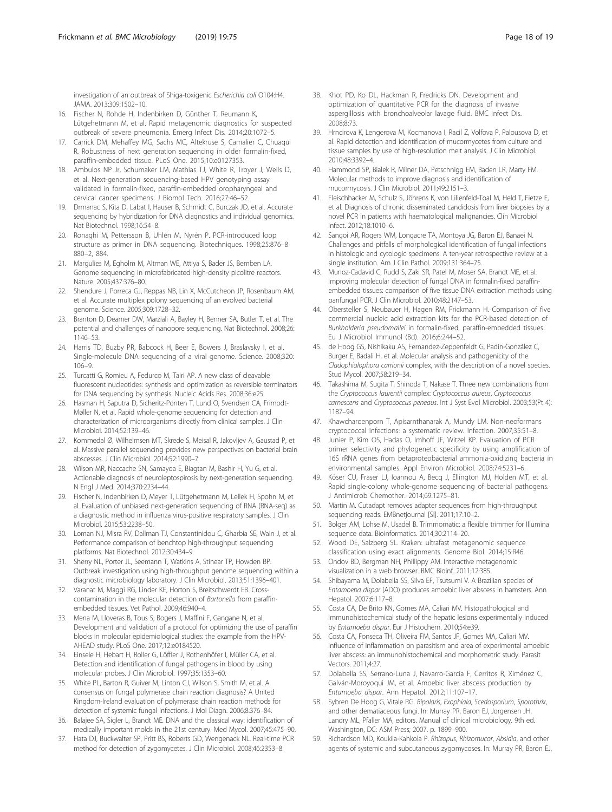<span id="page-17-0"></span>investigation of an outbreak of Shiga-toxigenic Escherichia coli O104:H4. JAMA. 2013;309:1502–10.

- 16. Fischer N, Rohde H, Indenbirken D, Günther T, Reumann K, Lütgehetmann M, et al. Rapid metagenomic diagnostics for suspected outbreak of severe pneumonia. Emerg Infect Dis. 2014;20:1072–5.
- 17. Carrick DM, Mehaffey MG, Sachs MC, Altekruse S, Camalier C, Chuaqui R. Robustness of next generation sequencing in older formalin-fixed, paraffin-embedded tissue. PLoS One. 2015;10:e0127353.
- 18. Ambulos NP Jr, Schumaker LM, Mathias TJ, White R, Troyer J, Wells D, et al. Next-generation sequencing-based HPV genotyping assay validated in formalin-fixed, paraffin-embedded oropharyngeal and cervical cancer specimens. J Biomol Tech. 2016;27:46–52.
- 19. Drmanac S, Kita D, Labat I, Hauser B, Schmidt C, Burczak JD, et al. Accurate sequencing by hybridization for DNA diagnostics and individual genomics. Nat Biotechnol. 1998;16:54–8.
- 20. Ronaghi M, Pettersson B, Uhlén M, Nyrén P. PCR-introduced loop structure as primer in DNA sequencing. Biotechniques. 1998;25:876–8 880–2, 884.
- 21. Margulies M, Egholm M, Altman WE, Attiya S, Bader JS, Bemben LA. Genome sequencing in microfabricated high-density picolitre reactors. Nature. 2005;437:376–80.
- 22. Shendure J, Porreca GJ, Reppas NB, Lin X, McCutcheon JP, Rosenbaum AM, et al. Accurate multiplex polony sequencing of an evolved bacterial genome. Science. 2005;309:1728–32.
- 23. Branton D, Deamer DW, Marziali A, Bayley H, Benner SA, Butler T, et al. The potential and challenges of nanopore sequencing. Nat Biotechnol. 2008;26: 1146–53.
- 24. Harris TD, Buzby PR, Babcock H, Beer E, Bowers J, Braslavsky I, et al. Single-molecule DNA sequencing of a viral genome. Science. 2008;320: 106–9.
- 25. Turcatti G, Romieu A, Fedurco M, Tairi AP. A new class of cleavable fluorescent nucleotides: synthesis and optimization as reversible terminators for DNA sequencing by synthesis. Nucleic Acids Res. 2008;36:e25.
- 26. Hasman H, Saputra D, Sicheritz-Ponten T, Lund O, Svendsen CA, Frimodt-Møller N, et al. Rapid whole-genome sequencing for detection and characterization of microorganisms directly from clinical samples. J Clin Microbiol. 2014;52:139–46.
- 27. Kommedal Ø, Wilhelmsen MT, Skrede S, Meisal R, Jakovljev A, Gaustad P, et al. Massive parallel sequencing provides new perspectives on bacterial brain abscesses. J Clin Microbiol. 2014;52:1990–7.
- 28. Wilson MR, Naccache SN, Samayoa E, Biagtan M, Bashir H, Yu G, et al. Actionable diagnosis of neuroleptospirosis by next-generation sequencing. N Engl J Med. 2014;370:2234–44.
- 29. Fischer N, Indenbirken D, Meyer T, Lütgehetmann M, Lellek H, Spohn M, et al. Evaluation of unbiased next-generation sequencing of RNA (RNA-seq) as a diagnostic method in influenza virus-positive respiratory samples. J Clin Microbiol. 2015;53:2238–50.
- 30. Loman NJ, Misra RV, Dallman TJ, Constantinidou C, Gharbia SE, Wain J, et al. Performance comparison of benchtop high-throughput sequencing platforms. Nat Biotechnol. 2012;30:434–9.
- 31. Sherry NL, Porter JL, Seemann T, Watkins A, Stinear TP, Howden BP. Outbreak investigation using high-throughput genome sequencing within a diagnostic microbiology laboratory. J Clin Microbiol. 2013;51:1396–401.
- 32. Varanat M, Maggi RG, Linder KE, Horton S, Breitschwerdt EB. Crosscontamination in the molecular detection of Bartonella from paraffinembedded tissues. Vet Pathol. 2009;46:940–4.
- 33. Mena M, Lloveras B, Tous S, Bogers J, Maffini F, Gangane N, et al. Development and validation of a protocol for optimizing the use of paraffin blocks in molecular epidemiological studies: the example from the HPV-AHEAD study. PLoS One. 2017;12:e0184520.
- 34. Einsele H, Hebart H, Roller G, Löffler J, Rothenhöfer I, Müller CA, et al. Detection and identification of fungal pathogens in blood by using molecular probes. J Clin Microbiol. 1997;35:1353–60.
- 35. White PL, Barton R, Guiver M, Linton CJ, Wilson S, Smith M, et al. A consensus on fungal polymerase chain reaction diagnosis? A United Kingdom-Ireland evaluation of polymerase chain reaction methods for detection of systemic fungal infections. J Mol Diagn. 2006;8:376–84.
- 36. Balajee SA, Sigler L, Brandt ME. DNA and the classical way: identification of medically important molds in the 21st century. Med Mycol. 2007;45:475–90.
- 37. Hata DJ, Buckwalter SP, Pritt BS, Roberts GD, Wengenack NL. Real-time PCR method for detection of zygomycetes. J Clin Microbiol. 2008;46:2353–8.
- 38. Khot PD, Ko DL, Hackman R, Fredricks DN. Development and optimization of quantitative PCR for the diagnosis of invasive aspergillosis with bronchoalveolar lavage fluid. BMC Infect Dis. 2008;8:73.
- 39. Hrncirova K, Lengerova M, Kocmanova I, Racil Z, Volfova P, Palousova D, et al. Rapid detection and identification of mucormycetes from culture and tissue samples by use of high-resolution melt analysis. J Clin Microbiol. 2010;48:3392–4.
- 40. Hammond SP, Bialek R, Milner DA, Petschnigg EM, Baden LR, Marty FM. Molecular methods to improve diagnosis and identification of mucormycosis. J Clin Microbiol. 2011;49:2151–3.
- 41. Fleischhacker M, Schulz S, Jöhrens K, von Lilienfeld-Toal M, Held T, Fietze E, et al. Diagnosis of chronic disseminated candidosis from liver biopsies by a novel PCR in patients with haematological malignancies. Clin Microbiol Infect. 2012;18:1010–6.
- 42. Sangoi AR, Rogers WM, Longacre TA, Montoya JG, Baron EJ, Banaei N. Challenges and pitfalls of morphological identification of fungal infections in histologic and cytologic specimens. A ten-year retrospective review at a single institution. Am J Clin Pathol. 2009;131:364–75.
- 43. Munoz-Cadavid C, Rudd S, Zaki SR, Patel M, Moser SA, Brandt ME, et al. Improving molecular detection of fungal DNA in formalin-fixed paraffinembedded tissues: comparison of five tissue DNA extraction methods using panfungal PCR. J Clin Microbiol. 2010;48:2147–53.
- 44. Obersteller S, Neubauer H, Hagen RM, Frickmann H. Comparison of five commercial nucleic acid extraction kits for the PCR-based detection of Burkholderia pseudomallei in formalin-fixed, paraffin-embedded tissues. Eu J Microbiol Immunol (Bd). 2016;6:244–52.
- 45. de Hoog GS, Nishikaku AS, Fernandez-Zeppenfeldt G, Padín-González C, Burger E, Badali H, et al. Molecular analysis and pathogenicity of the Cladophialophora carrionii complex, with the description of a novel species. Stud Mycol. 2007;58:219–34.
- 46. Takashima M, Sugita T, Shinoda T, Nakase T. Three new combinations from the Cryptococcus laurentii complex: Cryptococcus aureus, Cryptococcus carnescens and Cryptococcus peneaus. Int J Syst Evol Microbiol. 2003;53(Pt 4): 1187–94.
- 47. Khawcharoenporn T, Apisarnthanarak A, Mundy LM. Non-neoformans cryptococcal infections: a systematic review. Infection. 2007;35:51–8.
- 48. Junier P, Kim OS, Hadas O, Imhoff JF, Witzel KP. Evaluation of PCR primer selectivity and phylogenetic specificity by using amplification of 16S rRNA genes from betaproteobacterial ammonia-oxidizing bacteria in environmental samples. Appl Environ Microbiol. 2008;74:5231–6.
- 49. Köser CU, Fraser LJ, Ioannou A, Becq J, Ellington MJ, Holden MT, et al. Rapid single-colony whole-genome sequencing of bacterial pathogens. J Antimicrob Chemother. 2014;69:1275–81.
- 50. Martin M. Cutadapt removes adapter sequences from high-throughput sequencing reads. EMBnetjournal [Sl]. 2011;17:10–2.
- 51. Bolger AM, Lohse M, Usadel B. Trimmomatic: a flexible trimmer for Illumina sequence data. Bioinformatics. 2014;30:2114–20.
- 52. Wood DE, Salzberg SL. Kraken: ultrafast metagenomic sequence classification using exact alignments. Genome Biol. 2014;15:R46.
- 53. Ondov BD, Bergman NH, Phillippy AM. Interactive metagenomic visualization in a web browser. BMC Bioinf. 2011;12:385.
- 54. Shibayama M, Dolabella SS, Silva EF, Tsutsumi V. A Brazilian species of Entamoeba dispar (ADO) produces amoebic liver abscess in hamsters. Ann Hepatol. 2007;6:117–8.
- 55. Costa CA, De Brito KN, Gomes MA, Caliari MV. Histopathological and immunohistochemical study of the hepatic lesions experimentally induced by Entamoeba dispar. Eur J Histochem. 2010;54:e39.
- 56. Costa CA, Fonseca TH, Oliveira FM, Santos JF, Gomes MA, Caliari MV. Influence of inflammation on parasitism and area of experimental amoebic liver abscess: an immunohistochemical and morphometric study. Parasit Vectors. 2011;4:27.
- 57. Dolabella SS, Serrano-Luna J, Navarro-García F, Cerritos R, Ximénez C, Galván-Moroyoqui JM, et al. Amoebic liver abscess production by Entamoeba dispar. Ann Hepatol. 2012;11:107–17.
- 58. Sybren De Hoog G, Vitale RG. Bipolaris, Exophiala, Scedosporium, Sporothrix, and other dematiaceous fungi. In: Murray PR, Baron EJ, Jorgensen JH, Landry ML, Pfaller MA, editors. Manual of clinical microbiology. 9th ed. Washington, DC: ASM Press; 2007. p. 1899–900.
- 59. Richardson MD, Koukila-Kahkola P. Rhizopus, Rhizomucor, Absidia, and other agents of systemic and subcutaneous zygomycoses. In: Murray PR, Baron EJ,